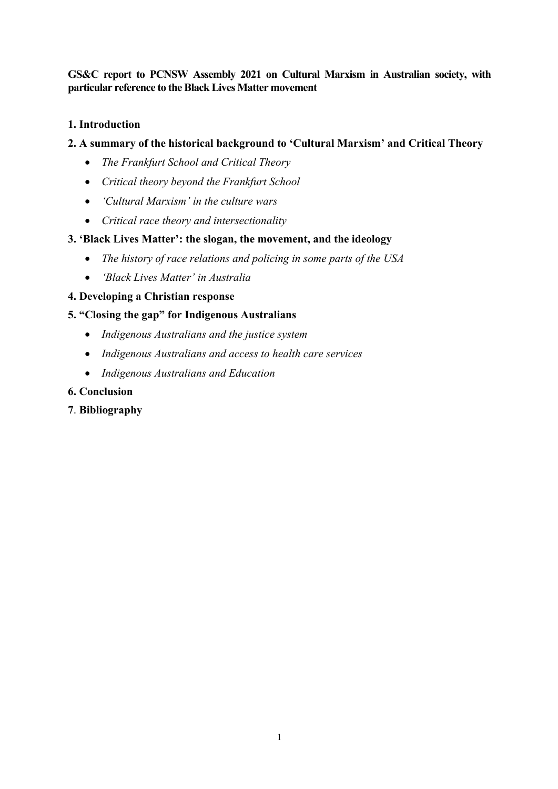**GS&C report to PCNSW Assembly 2021 on Cultural Marxism in Australian society, with particular reference to the Black Lives Matter movement**

# **1. Introduction**

# **2. A summary of the historical background to 'Cultural Marxism' and Critical Theory**

- *The Frankfurt School and Critical Theory*
- *Critical theory beyond the Frankfurt School*
- *'Cultural Marxism' in the culture wars*
- *Critical race theory and intersectionality*

# **3. 'Black Lives Matter': the slogan, the movement, and the ideology**

- *The history of race relations and policing in some parts of the USA*
- *'Black Lives Matter' in Australia*

# **4. Developing a Christian response**

# **5. "Closing the gap" for Indigenous Australians**

- *Indigenous Australians and the justice system*
- *Indigenous Australians and access to health care services*
- *Indigenous Australians and Education*

## **6. Conclusion**

**7**. **Bibliography**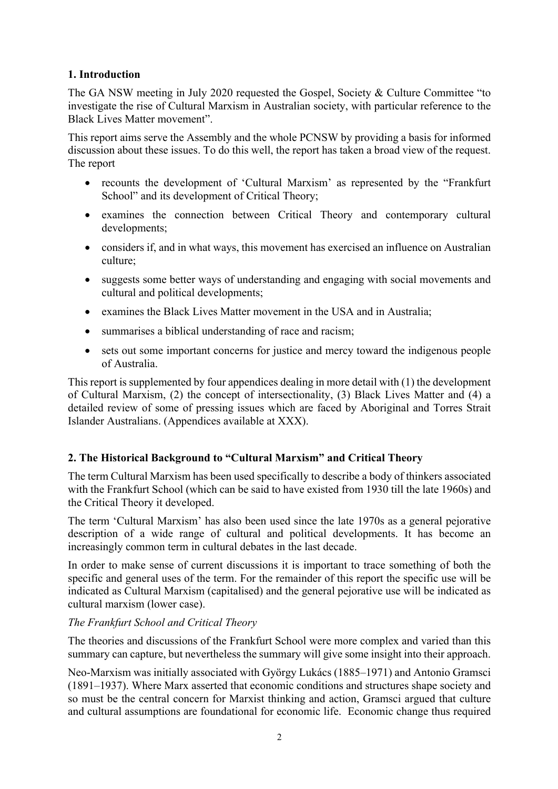# **1. Introduction**

The GA NSW meeting in July 2020 requested the Gospel, Society & Culture Committee "to investigate the rise of Cultural Marxism in Australian society, with particular reference to the Black Lives Matter movement".

This report aims serve the Assembly and the whole PCNSW by providing a basis for informed discussion about these issues. To do this well, the report has taken a broad view of the request. The report

- recounts the development of 'Cultural Marxism' as represented by the "Frankfurt School" and its development of Critical Theory;
- examines the connection between Critical Theory and contemporary cultural developments;
- considers if, and in what ways, this movement has exercised an influence on Australian culture;
- suggests some better ways of understanding and engaging with social movements and cultural and political developments;
- examines the Black Lives Matter movement in the USA and in Australia;
- summarises a biblical understanding of race and racism;
- sets out some important concerns for justice and mercy toward the indigenous people of Australia.

This report is supplemented by four appendices dealing in more detail with (1) the development of Cultural Marxism, (2) the concept of intersectionality, (3) Black Lives Matter and (4) a detailed review of some of pressing issues which are faced by Aboriginal and Torres Strait Islander Australians. (Appendices available at XXX).

# **2. The Historical Background to "Cultural Marxism" and Critical Theory**

The term Cultural Marxism has been used specifically to describe a body of thinkers associated with the Frankfurt School (which can be said to have existed from 1930 till the late 1960s) and the Critical Theory it developed.

The term 'Cultural Marxism' has also been used since the late 1970s as a general pejorative description of a wide range of cultural and political developments. It has become an increasingly common term in cultural debates in the last decade.

In order to make sense of current discussions it is important to trace something of both the specific and general uses of the term. For the remainder of this report the specific use will be indicated as Cultural Marxism (capitalised) and the general pejorative use will be indicated as cultural marxism (lower case).

# *The Frankfurt School and Critical Theory*

The theories and discussions of the Frankfurt School were more complex and varied than this summary can capture, but nevertheless the summary will give some insight into their approach.

Neo-Marxism was initially associated with György Lukács (1885–1971) and Antonio Gramsci (1891–1937). Where Marx asserted that economic conditions and structures shape society and so must be the central concern for Marxist thinking and action, Gramsci argued that culture and cultural assumptions are foundational for economic life. Economic change thus required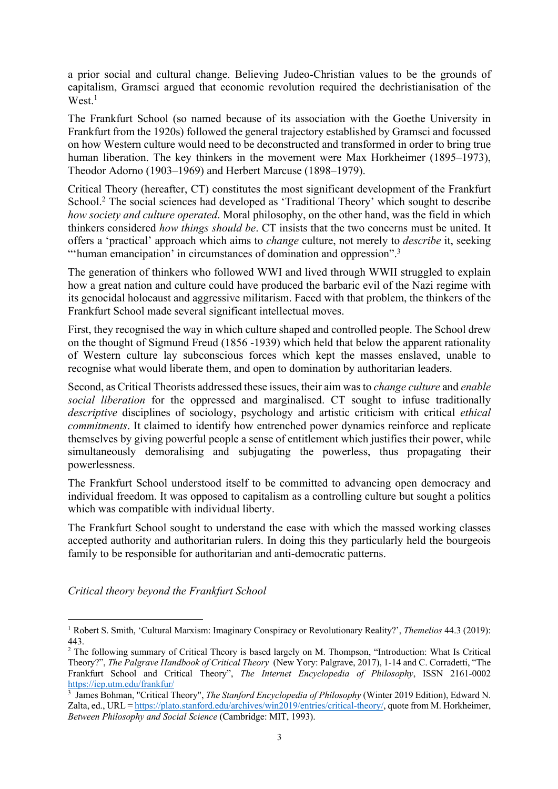a prior social and cultural change. Believing Judeo-Christian values to be the grounds of capitalism, Gramsci argued that economic revolution required the dechristianisation of the West.<sup>1</sup>

The Frankfurt School (so named because of its association with the Goethe University in Frankfurt from the 1920s) followed the general trajectory established by Gramsci and focussed on how Western culture would need to be deconstructed and transformed in order to bring true human liberation. The key thinkers in the movement were Max Horkheimer (1895–1973), Theodor Adorno (1903–1969) and Herbert Marcuse (1898–1979).

Critical Theory (hereafter, CT) constitutes the most significant development of the Frankfurt School.<sup>2</sup> The social sciences had developed as 'Traditional Theory' which sought to describe *how society and culture operated*. Moral philosophy, on the other hand, was the field in which thinkers considered *how things should be*. CT insists that the two concerns must be united. It offers a 'practical' approach which aims to *change* culture, not merely to *describe* it, seeking "'human emancipation' in circumstances of domination and oppression".<sup>3</sup>

The generation of thinkers who followed WWI and lived through WWII struggled to explain how a great nation and culture could have produced the barbaric evil of the Nazi regime with its genocidal holocaust and aggressive militarism. Faced with that problem, the thinkers of the Frankfurt School made several significant intellectual moves.

First, they recognised the way in which culture shaped and controlled people. The School drew on the thought of Sigmund Freud (1856 -1939) which held that below the apparent rationality of Western culture lay subconscious forces which kept the masses enslaved, unable to recognise what would liberate them, and open to domination by authoritarian leaders.

Second, as Critical Theorists addressed these issues, their aim was to *change culture* and *enable social liberation* for the oppressed and marginalised. CT sought to infuse traditionally *descriptive* disciplines of sociology, psychology and artistic criticism with critical *ethical commitments*. It claimed to identify how entrenched power dynamics reinforce and replicate themselves by giving powerful people a sense of entitlement which justifies their power, while simultaneously demoralising and subjugating the powerless, thus propagating their powerlessness.

The Frankfurt School understood itself to be committed to advancing open democracy and individual freedom. It was opposed to capitalism as a controlling culture but sought a politics which was compatible with individual liberty.

The Frankfurt School sought to understand the ease with which the massed working classes accepted authority and authoritarian rulers. In doing this they particularly held the bourgeois family to be responsible for authoritarian and anti-democratic patterns.

*Critical theory beyond the Frankfurt School*

<sup>1</sup> Robert S. Smith, 'Cultural Marxism: Imaginary Conspiracy or Revolutionary Reality?', *Themelios* 44.3 (2019): 443.

<sup>&</sup>lt;sup>2</sup> The following summary of Critical Theory is based largely on M. Thompson, "Introduction: What Is Critical Theory?", *The Palgrave Handbook of Critical Theory* (New Yory: Palgrave, 2017), 1-14 and C. Corradetti, "The Frankfurt School and Critical Theory", *The Internet Encyclopedia of Philosophy*, ISSN 2161-0002 https://iep.utm.edu/frankfur/

<sup>3</sup> James Bohman, "Critical Theory", *The Stanford Encyclopedia of Philosophy* (Winter 2019 Edition), Edward N. Zalta, ed., URL = https://plato.stanford.edu/archives/win2019/entries/critical-theory/, quote from M. Horkheimer, *Between Philosophy and Social Science* (Cambridge: MIT, 1993).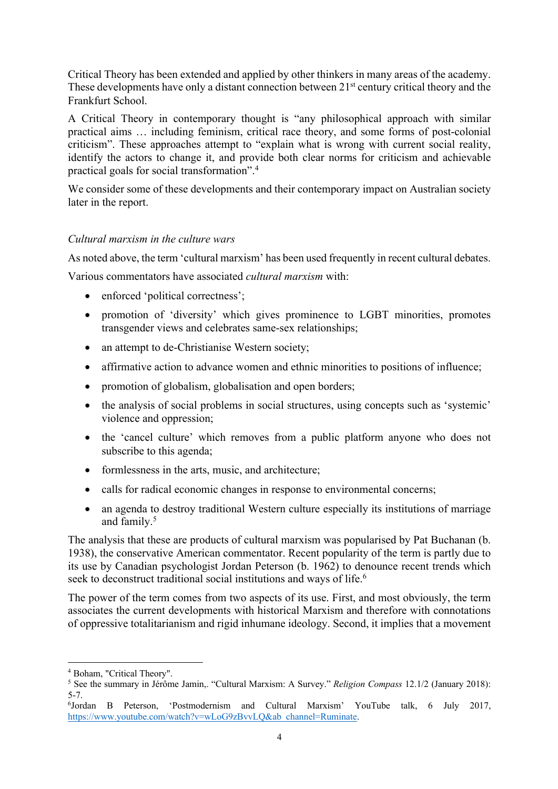Critical Theory has been extended and applied by other thinkers in many areas of the academy. These developments have only a distant connection between 21<sup>st</sup> century critical theory and the Frankfurt School.

A Critical Theory in contemporary thought is "any philosophical approach with similar practical aims … including feminism, critical race theory, and some forms of post-colonial criticism". These approaches attempt to "explain what is wrong with current social reality, identify the actors to change it, and provide both clear norms for criticism and achievable practical goals for social transformation".4

We consider some of these developments and their contemporary impact on Australian society later in the report.

### *Cultural marxism in the culture wars*

As noted above, the term 'cultural marxism' has been used frequently in recent cultural debates.

Various commentators have associated *cultural marxism* with:

- enforced 'political correctness';
- promotion of 'diversity' which gives prominence to LGBT minorities, promotes transgender views and celebrates same-sex relationships;
- an attempt to de-Christianise Western society;
- affirmative action to advance women and ethnic minorities to positions of influence;
- promotion of globalism, globalisation and open borders;
- the analysis of social problems in social structures, using concepts such as 'systemic' violence and oppression;
- the 'cancel culture' which removes from a public platform anyone who does not subscribe to this agenda;
- formlessness in the arts, music, and architecture;
- calls for radical economic changes in response to environmental concerns;
- an agenda to destroy traditional Western culture especially its institutions of marriage and family.5

The analysis that these are products of cultural marxism was popularised by Pat Buchanan (b. 1938), the conservative American commentator. Recent popularity of the term is partly due to its use by Canadian psychologist Jordan Peterson (b. 1962) to denounce recent trends which seek to deconstruct traditional social institutions and ways of life.<sup>6</sup>

The power of the term comes from two aspects of its use. First, and most obviously, the term associates the current developments with historical Marxism and therefore with connotations of oppressive totalitarianism and rigid inhumane ideology. Second, it implies that a movement

<sup>4</sup> Boham, "Critical Theory".

<sup>5</sup> See the summary in Jérôme Jamin,. "Cultural Marxism: A Survey." *Religion Compass* 12.1/2 (January 2018): 5-7.

<sup>6</sup> Jordan B Peterson, 'Postmodernism and Cultural Marxism' YouTube talk, 6 July 2017, https://www.youtube.com/watch?v=wLoG9zBvvLQ&ab\_channel=Ruminate.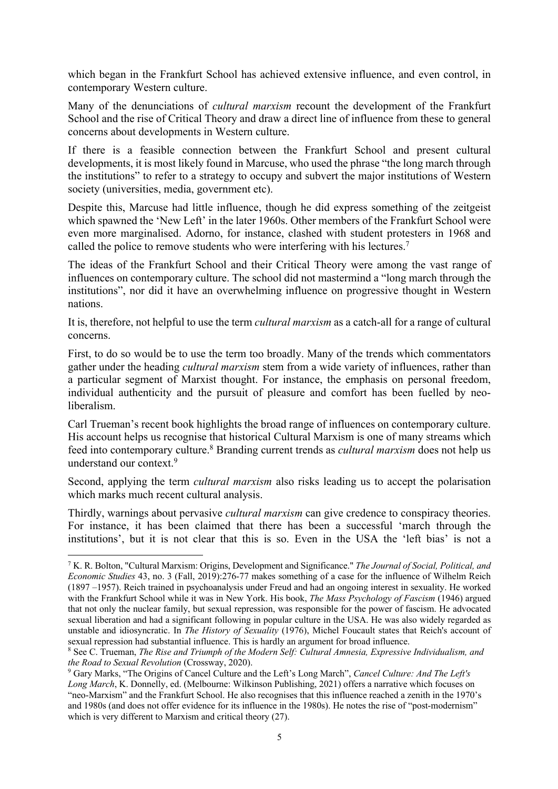which began in the Frankfurt School has achieved extensive influence, and even control, in contemporary Western culture.

Many of the denunciations of *cultural marxism* recount the development of the Frankfurt School and the rise of Critical Theory and draw a direct line of influence from these to general concerns about developments in Western culture.

If there is a feasible connection between the Frankfurt School and present cultural developments, it is most likely found in Marcuse, who used the phrase "the long march through the institutions" to refer to a strategy to occupy and subvert the major institutions of Western society (universities, media, government etc).

Despite this, Marcuse had little influence, though he did express something of the zeitgeist which spawned the 'New Left' in the later 1960s. Other members of the Frankfurt School were even more marginalised. Adorno, for instance, clashed with student protesters in 1968 and called the police to remove students who were interfering with his lectures.<sup>7</sup>

The ideas of the Frankfurt School and their Critical Theory were among the vast range of influences on contemporary culture. The school did not mastermind a "long march through the institutions", nor did it have an overwhelming influence on progressive thought in Western nations.

It is, therefore, not helpful to use the term *cultural marxism* as a catch-all for a range of cultural concerns.

First, to do so would be to use the term too broadly. Many of the trends which commentators gather under the heading *cultural marxism* stem from a wide variety of influences, rather than a particular segment of Marxist thought. For instance, the emphasis on personal freedom, individual authenticity and the pursuit of pleasure and comfort has been fuelled by neoliberalism.

Carl Trueman's recent book highlights the broad range of influences on contemporary culture. His account helps us recognise that historical Cultural Marxism is one of many streams which feed into contemporary culture.8 Branding current trends as *cultural marxism* does not help us understand our context.9

Second, applying the term *cultural marxism* also risks leading us to accept the polarisation which marks much recent cultural analysis.

Thirdly, warnings about pervasive *cultural marxism* can give credence to conspiracy theories. For instance, it has been claimed that there has been a successful 'march through the institutions', but it is not clear that this is so. Even in the USA the 'left bias' is not a

<sup>7</sup> K. R. Bolton, "Cultural Marxism: Origins, Development and Significance." *The Journal of Social, Political, and Economic Studies* 43, no. 3 (Fall, 2019):276-77 makes something of a case for the influence of Wilhelm Reich (1897 –1957). Reich trained in psychoanalysis under Freud and had an ongoing interest in sexuality. He worked with the Frankfurt School while it was in New York. His book, *The Mass Psychology of Fascism* (1946) argued that not only the nuclear family, but sexual repression, was responsible for the power of fascism. He advocated sexual liberation and had a significant following in popular culture in the USA. He was also widely regarded as unstable and idiosyncratic. In *The History of Sexuality* (1976), Michel Foucault states that Reich's account of sexual repression had substantial influence. This is hardly an argument for broad influence.

<sup>8</sup> See C. Trueman, *The Rise and Triumph of the Modern Self: Cultural Amnesia, Expressive Individualism, and the Road to Sexual Revolution* (Crossway, 2020).

<sup>9</sup> Gary Marks, "The Origins of Cancel Culture and the Left's Long March", *Cancel Culture: And The Left's Long March*, K. Donnelly, ed. (Melbourne: Wilkinson Publishing, 2021) offers a narrative which focuses on "neo-Marxism" and the Frankfurt School. He also recognises that this influence reached a zenith in the 1970's and 1980s (and does not offer evidence for its influence in the 1980s). He notes the rise of "post-modernism" which is very different to Marxism and critical theory (27).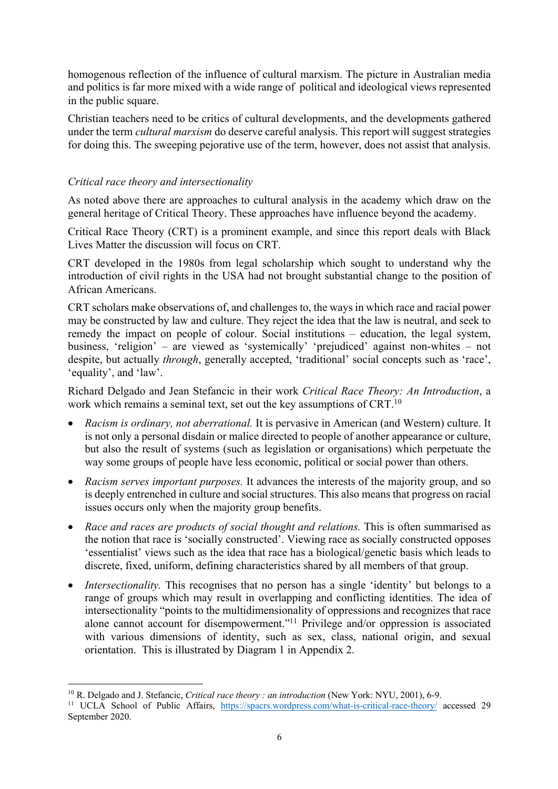homogenous reflection of the influence of cultural marxism. The picture in Australian media and politics is far more mixed with a wide range of political and ideological views represented in the public square.

Christian teachers need to be critics of cultural developments, and the developments gathered under the term *cultural marxism* do deserve careful analysis. This report will suggest strategies for doing this. The sweeping pejorative use of the term, however, does not assist that analysis.

# *Critical race theory and intersectionality*

As noted above there are approaches to cultural analysis in the academy which draw on the general heritage of Critical Theory. These approaches have influence beyond the academy.

Critical Race Theory (CRT) is a prominent example, and since this report deals with Black Lives Matter the discussion will focus on CRT.

CRT developed in the 1980s from legal scholarship which sought to understand why the introduction of civil rights in the USA had not brought substantial change to the position of African Americans.

CRT scholars make observations of, and challenges to, the ways in which race and racial power may be constructed by law and culture. They reject the idea that the law is neutral, and seek to remedy the impact on people of colour. Social institutions – education, the legal system, business, 'religion' – are viewed as 'systemically' 'prejudiced' against non-whites – not despite, but actually *through*, generally accepted, 'traditional' social concepts such as 'race', 'equality', and 'law'.

Richard Delgado and Jean Stefancic in their work *Critical Race Theory: An Introduction*, a work which remains a seminal text, set out the key assumptions of CRT.<sup>10</sup>

- *Racism is ordinary, not aberrational.* It is pervasive in American (and Western) culture. It is not only a personal disdain or malice directed to people of another appearance or culture, but also the result of systems (such as legislation or organisations) which perpetuate the way some groups of people have less economic, political or social power than others.
- *Racism serves important purposes.* It advances the interests of the majority group, and so is deeply entrenched in culture and social structures. This also means that progress on racial issues occurs only when the majority group benefits.
- *Race and races are products of social thought and relations.* This is often summarised as the notion that race is 'socially constructed'. Viewing race as socially constructed opposes 'essentialist' views such as the idea that race has a biological/genetic basis which leads to discrete, fixed, uniform, defining characteristics shared by all members of that group.
- *Intersectionality*. This recognises that no person has a single 'identity' but belongs to a range of groups which may result in overlapping and conflicting identities. The idea of intersectionality "points to the multidimensionality of oppressions and recognizes that race alone cannot account for disempowerment."11 Privilege and/or oppression is associated with various dimensions of identity, such as sex, class, national origin, and sexual orientation. This is illustrated by Diagram 1 in Appendix 2.

<sup>10</sup> R. Delgado and J. Stefancic, *Critical race theory : an introduction* (New York: NYU, 2001), 6-9.

<sup>11</sup> UCLA School of Public Affairs, https://spacrs.wordpress.com/what-is-critical-race-theory/ accessed 29 September 2020.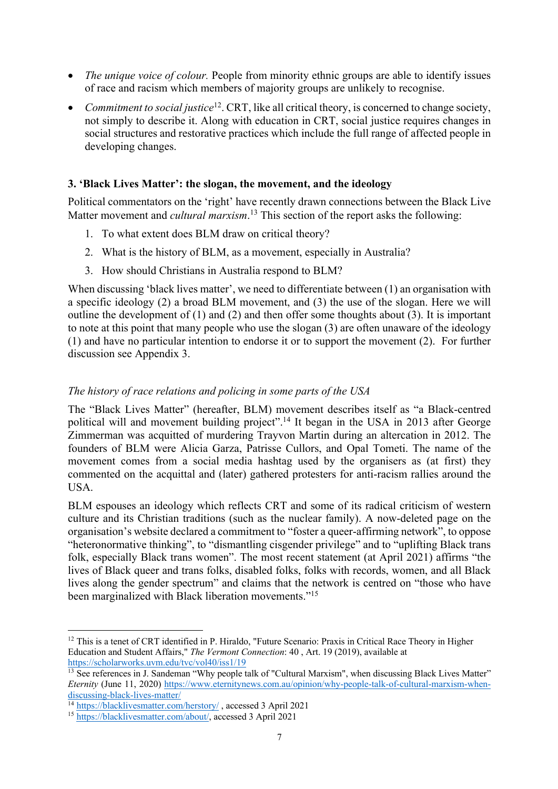- *The unique voice of colour.* People from minority ethnic groups are able to identify issues of race and racism which members of majority groups are unlikely to recognise.
- *Commitment to social justice*<sup>12</sup>. CRT, like all critical theory, is concerned to change society, not simply to describe it. Along with education in CRT, social justice requires changes in social structures and restorative practices which include the full range of affected people in developing changes.

# **3. 'Black Lives Matter': the slogan, the movement, and the ideology**

Political commentators on the 'right' have recently drawn connections between the Black Live Matter movement and *cultural marxism*. <sup>13</sup> This section of the report asks the following:

- 1. To what extent does BLM draw on critical theory?
- 2. What is the history of BLM, as a movement, especially in Australia?
- 3. How should Christians in Australia respond to BLM?

When discussing 'black lives matter', we need to differentiate between (1) an organisation with a specific ideology (2) a broad BLM movement, and (3) the use of the slogan. Here we will outline the development of (1) and (2) and then offer some thoughts about (3). It is important to note at this point that many people who use the slogan (3) are often unaware of the ideology (1) and have no particular intention to endorse it or to support the movement (2). For further discussion see Appendix 3.

## *The history of race relations and policing in some parts of the USA*

The "Black Lives Matter" (hereafter, BLM) movement describes itself as "a Black-centred political will and movement building project".14 It began in the USA in 2013 after George Zimmerman was acquitted of murdering Trayvon Martin during an altercation in 2012. The founders of BLM were Alicia Garza, Patrisse Cullors, and Opal Tometi. The name of the movement comes from a social media hashtag used by the organisers as (at first) they commented on the acquittal and (later) gathered protesters for anti-racism rallies around the USA.

BLM espouses an ideology which reflects CRT and some of its radical criticism of western culture and its Christian traditions (such as the nuclear family). A now-deleted page on the organisation's website declared a commitment to "foster a queer‐affirming network", to oppose "heteronormative thinking", to "dismantling cisgender privilege" and to "uplifting Black trans folk, especially Black trans women". The most recent statement (at April 2021) affirms "the lives of Black queer and trans folks, disabled folks, folks with records, women, and all Black lives along the gender spectrum" and claims that the network is centred on "those who have been marginalized with Black liberation movements."<sup>15</sup>

<sup>&</sup>lt;sup>12</sup> This is a tenet of CRT identified in P. Hiraldo, "Future Scenario: Praxis in Critical Race Theory in Higher Education and Student Affairs," *The Vermont Connection*: 40 , Art. 19 (2019), available at https://scholarworks.uvm.edu/tvc/vol40/iss1/19

<sup>&</sup>lt;sup>13</sup> See references in J. Sandeman "Why people talk of "Cultural Marxism", when discussing Black Lives Matter" *Eternity* (June 11, 2020) https://www.eternitynews.com.au/opinion/why-people-talk-of-cultural-marxism-whendiscussing-black-lives-matter/

<sup>&</sup>lt;sup>14</sup> https://blacklivesmatter.com/herstory/, accessed 3 April 2021

<sup>15</sup> https://blacklivesmatter.com/about/, accessed 3 April 2021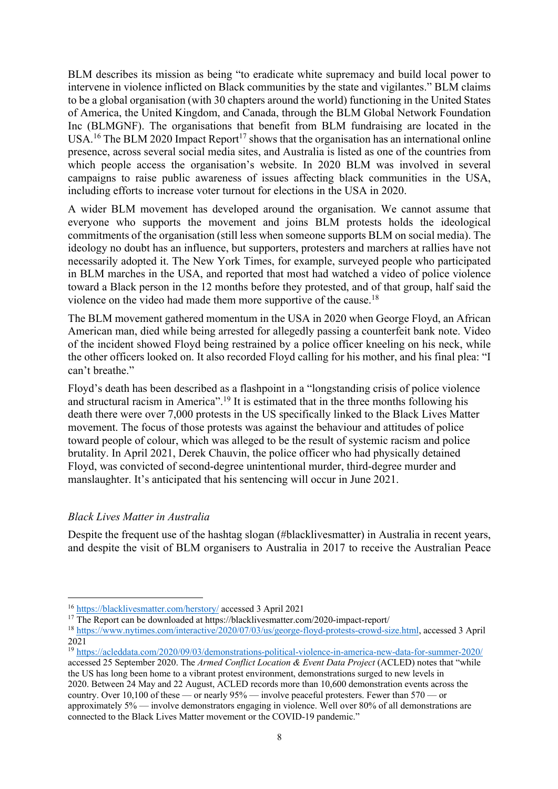BLM describes its mission as being "to eradicate white supremacy and build local power to intervene in violence inflicted on Black communities by the state and vigilantes." BLM claims to be a global organisation (with 30 chapters around the world) functioning in the United States of America, the United Kingdom, and Canada, through the BLM Global Network Foundation Inc (BLMGNF). The organisations that benefit from BLM fundraising are located in the USA.<sup>16</sup> The BLM 2020 Impact Report<sup>17</sup> shows that the organisation has an international online presence, across several social media sites, and Australia is listed as one of the countries from which people access the organisation's website. In 2020 BLM was involved in several campaigns to raise public awareness of issues affecting black communities in the USA, including efforts to increase voter turnout for elections in the USA in 2020.

A wider BLM movement has developed around the organisation. We cannot assume that everyone who supports the movement and joins BLM protests holds the ideological commitments of the organisation (still less when someone supports BLM on social media). The ideology no doubt has an influence, but supporters, protesters and marchers at rallies have not necessarily adopted it. The New York Times, for example, surveyed people who participated in BLM marches in the USA, and reported that most had watched a video of police violence toward a Black person in the 12 months before they protested, and of that group, half said the violence on the video had made them more supportive of the cause.18

The BLM movement gathered momentum in the USA in 2020 when George Floyd, an African American man, died while being arrested for allegedly passing a counterfeit bank note. Video of the incident showed Floyd being restrained by a police officer kneeling on his neck, while the other officers looked on. It also recorded Floyd calling for his mother, and his final plea: "I can't breathe."

Floyd's death has been described as a flashpoint in a "longstanding crisis of police violence and structural racism in America".19 It is estimated that in the three months following his death there were over 7,000 protests in the US specifically linked to the Black Lives Matter movement. The focus of those protests was against the behaviour and attitudes of police toward people of colour, which was alleged to be the result of systemic racism and police brutality. In April 2021, Derek Chauvin, the police officer who had physically detained Floyd, was convicted of second-degree unintentional murder, third-degree murder and manslaughter. It's anticipated that his sentencing will occur in June 2021.

# *Black Lives Matter in Australia*

Despite the frequent use of the hashtag slogan (#blacklivesmatter) in Australia in recent years, and despite the visit of BLM organisers to Australia in 2017 to receive the Australian Peace

<sup>16</sup> https://blacklivesmatter.com/herstory/ accessed 3 April 2021

<sup>&</sup>lt;sup>17</sup> The Report can be downloaded at https://blacklivesmatter.com/2020-impact-report/

<sup>18</sup> https://www.nytimes.com/interactive/2020/07/03/us/george-floyd-protests-crowd-size.html, accessed 3 April 2021

<sup>19</sup> https://acleddata.com/2020/09/03/demonstrations-political-violence-in-america-new-data-for-summer-2020/

accessed 25 September 2020. The *Armed Conflict Location & Event Data Project* (ACLED) notes that "while the US has long been home to a vibrant protest environment, demonstrations surged to new levels in 2020. Between 24 May and 22 August, ACLED records more than 10,600 demonstration events across the country. Over 10,100 of these — or nearly 95% — involve peaceful protesters. Fewer than 570 — or approximately 5% — involve demonstrators engaging in violence. Well over 80% of all demonstrations are connected to the Black Lives Matter movement or the COVID-19 pandemic."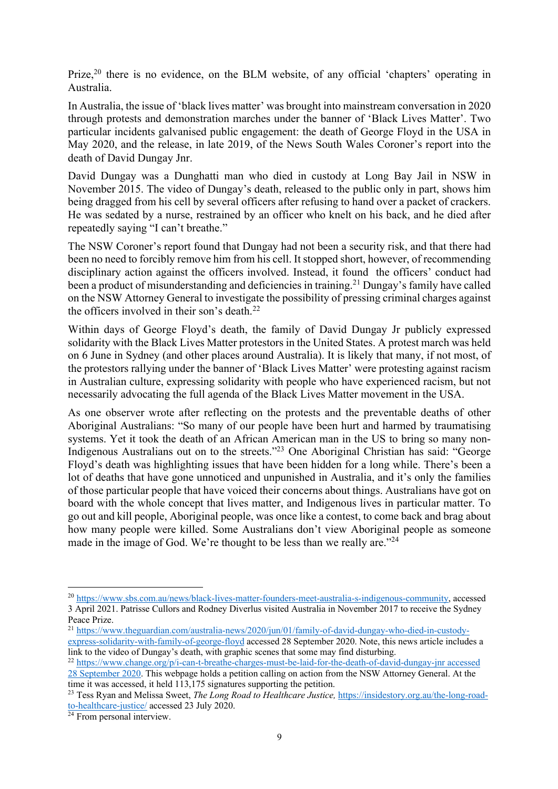Prize,<sup>20</sup> there is no evidence, on the BLM website, of any official 'chapters' operating in Australia.

In Australia, the issue of 'black lives matter' was brought into mainstream conversation in 2020 through protests and demonstration marches under the banner of 'Black Lives Matter'. Two particular incidents galvanised public engagement: the death of George Floyd in the USA in May 2020, and the release, in late 2019, of the News South Wales Coroner's report into the death of David Dungay Jnr.

David Dungay was a Dunghatti man who died in custody at Long Bay Jail in NSW in November 2015. The video of Dungay's death, released to the public only in part, shows him being dragged from his cell by several officers after refusing to hand over a packet of crackers. He was sedated by a nurse, restrained by an officer who knelt on his back, and he died after repeatedly saying "I can't breathe."

The NSW Coroner's report found that Dungay had not been a security risk, and that there had been no need to forcibly remove him from his cell. It stopped short, however, of recommending disciplinary action against the officers involved. Instead, it found the officers' conduct had been a product of misunderstanding and deficiencies in training.<sup>21</sup> Dungay's family have called on the NSW Attorney General to investigate the possibility of pressing criminal charges against the officers involved in their son's death.22

Within days of George Floyd's death, the family of David Dungay Jr publicly expressed solidarity with the Black Lives Matter protestors in the United States. A protest march was held on 6 June in Sydney (and other places around Australia). It is likely that many, if not most, of the protestors rallying under the banner of 'Black Lives Matter' were protesting against racism in Australian culture, expressing solidarity with people who have experienced racism, but not necessarily advocating the full agenda of the Black Lives Matter movement in the USA.

As one observer wrote after reflecting on the protests and the preventable deaths of other Aboriginal Australians: "So many of our people have been hurt and harmed by traumatising systems. Yet it took the death of an African American man in the US to bring so many non-Indigenous Australians out on to the streets."23 One Aboriginal Christian has said: "George Floyd's death was highlighting issues that have been hidden for a long while. There's been a lot of deaths that have gone unnoticed and unpunished in Australia, and it's only the families of those particular people that have voiced their concerns about things. Australians have got on board with the whole concept that lives matter, and Indigenous lives in particular matter. To go out and kill people, Aboriginal people, was once like a contest, to come back and brag about how many people were killed. Some Australians don't view Aboriginal people as someone made in the image of God. We're thought to be less than we really are."<sup>24</sup>

<sup>20</sup> https://www.sbs.com.au/news/black-lives-matter-founders-meet-australia-s-indigenous-community, accessed 3 April 2021. Patrisse Cullors and Rodney Diverlus visited Australia in November 2017 to receive the Sydney Peace Prize.

<sup>21</sup> https://www.theguardian.com/australia-news/2020/jun/01/family-of-david-dungay-who-died-in-custodyexpress-solidarity-with-family-of-george-floyd accessed 28 September 2020. Note, this news article includes a link to the video of Dungay's death, with graphic scenes that some may find disturbing.

<sup>22</sup> https://www.change.org/p/i-can-t-breathe-charges-must-be-laid-for-the-death-of-david-dungay-jnr accessed

<sup>28</sup> September 2020. This webpage holds a petition calling on action from the NSW Attorney General. At the time it was accessed, it held 113,175 signatures supporting the petition.

<sup>&</sup>lt;sup>23</sup> Tess Ryan and Melissa Sweet, *The Long Road to Healthcare Justice*, *https://insidestory.org.au/the-long-road*to-healthcare-justice/ accessed 23 July 2020.

 $24$  From personal interview.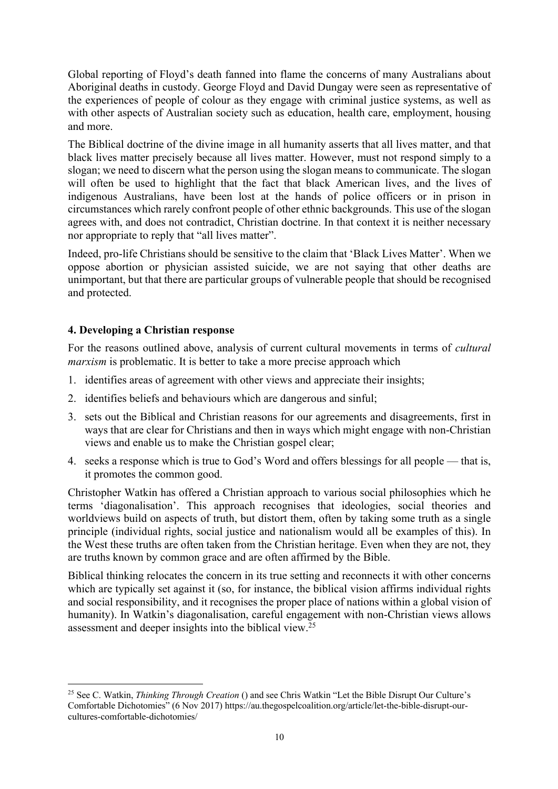Global reporting of Floyd's death fanned into flame the concerns of many Australians about Aboriginal deaths in custody. George Floyd and David Dungay were seen as representative of the experiences of people of colour as they engage with criminal justice systems, as well as with other aspects of Australian society such as education, health care, employment, housing and more.

The Biblical doctrine of the divine image in all humanity asserts that all lives matter, and that black lives matter precisely because all lives matter. However, must not respond simply to a slogan; we need to discern what the person using the slogan means to communicate. The slogan will often be used to highlight that the fact that black American lives, and the lives of indigenous Australians, have been lost at the hands of police officers or in prison in circumstances which rarely confront people of other ethnic backgrounds. This use of the slogan agrees with, and does not contradict, Christian doctrine. In that context it is neither necessary nor appropriate to reply that "all lives matter".

Indeed, pro-life Christians should be sensitive to the claim that 'Black Lives Matter'. When we oppose abortion or physician assisted suicide, we are not saying that other deaths are unimportant, but that there are particular groups of vulnerable people that should be recognised and protected.

# **4. Developing a Christian response**

For the reasons outlined above, analysis of current cultural movements in terms of *cultural marxism* is problematic. It is better to take a more precise approach which

- 1. identifies areas of agreement with other views and appreciate their insights;
- 2. identifies beliefs and behaviours which are dangerous and sinful;
- 3. sets out the Biblical and Christian reasons for our agreements and disagreements, first in ways that are clear for Christians and then in ways which might engage with non-Christian views and enable us to make the Christian gospel clear;
- 4. seeks a response which is true to God's Word and offers blessings for all people that is, it promotes the common good.

Christopher Watkin has offered a Christian approach to various social philosophies which he terms 'diagonalisation'. This approach recognises that ideologies, social theories and worldviews build on aspects of truth, but distort them, often by taking some truth as a single principle (individual rights, social justice and nationalism would all be examples of this). In the West these truths are often taken from the Christian heritage. Even when they are not, they are truths known by common grace and are often affirmed by the Bible.

Biblical thinking relocates the concern in its true setting and reconnects it with other concerns which are typically set against it (so, for instance, the biblical vision affirms individual rights and social responsibility, and it recognises the proper place of nations within a global vision of humanity). In Watkin's diagonalisation, careful engagement with non-Christian views allows assessment and deeper insights into the biblical view.25

<sup>25</sup> See C. Watkin, *Thinking Through Creation* () and see Chris Watkin "Let the Bible Disrupt Our Culture's Comfortable Dichotomies" (6 Nov 2017) https://au.thegospelcoalition.org/article/let-the-bible-disrupt-ourcultures-comfortable-dichotomies/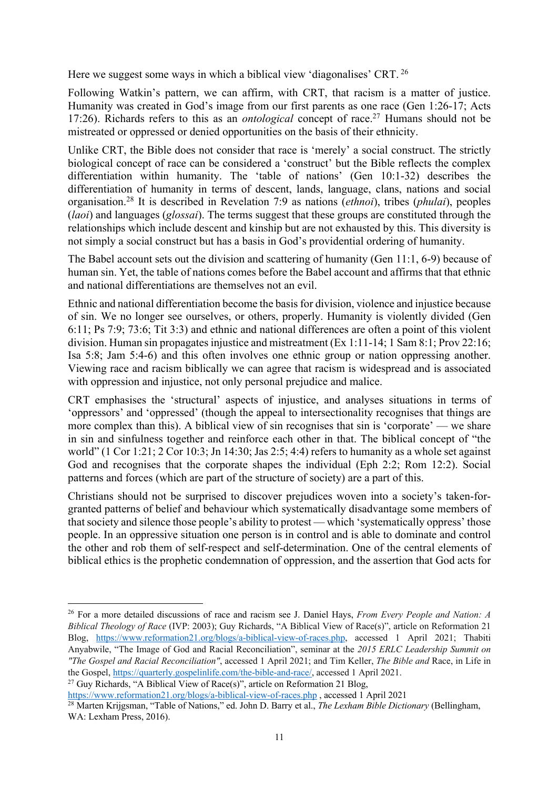Here we suggest some ways in which a biblical view 'diagonalises' CRT. <sup>26</sup>

Following Watkin's pattern, we can affirm, with CRT, that racism is a matter of justice. Humanity was created in God's image from our first parents as one race (Gen 1:26-17; Acts 17:26). Richards refers to this as an *ontological* concept of race.27 Humans should not be mistreated or oppressed or denied opportunities on the basis of their ethnicity.

Unlike CRT, the Bible does not consider that race is 'merely' a social construct. The strictly biological concept of race can be considered a 'construct' but the Bible reflects the complex differentiation within humanity. The 'table of nations' (Gen 10:1-32) describes the differentiation of humanity in terms of descent, lands, language, clans, nations and social organisation.28 It is described in Revelation 7:9 as nations (*ethnoi*), tribes (*phulai*), peoples (*laoi*) and languages (*glossai*). The terms suggest that these groups are constituted through the relationships which include descent and kinship but are not exhausted by this. This diversity is not simply a social construct but has a basis in God's providential ordering of humanity.

The Babel account sets out the division and scattering of humanity (Gen 11:1, 6-9) because of human sin. Yet, the table of nations comes before the Babel account and affirms that that ethnic and national differentiations are themselves not an evil.

Ethnic and national differentiation become the basis for division, violence and injustice because of sin. We no longer see ourselves, or others, properly. Humanity is violently divided (Gen 6:11; Ps 7:9; 73:6; Tit 3:3) and ethnic and national differences are often a point of this violent division. Human sin propagates injustice and mistreatment (Ex 1:11-14; 1 Sam 8:1; Prov 22:16; Isa 5:8; Jam 5:4-6) and this often involves one ethnic group or nation oppressing another. Viewing race and racism biblically we can agree that racism is widespread and is associated with oppression and injustice, not only personal prejudice and malice.

CRT emphasises the 'structural' aspects of injustice, and analyses situations in terms of 'oppressors' and 'oppressed' (though the appeal to intersectionality recognises that things are more complex than this). A biblical view of sin recognises that sin is 'corporate' — we share in sin and sinfulness together and reinforce each other in that. The biblical concept of "the world" (1 Cor 1:21; 2 Cor 10:3; Jn 14:30; Jas 2:5; 4:4) refers to humanity as a whole set against God and recognises that the corporate shapes the individual (Eph 2:2; Rom 12:2). Social patterns and forces (which are part of the structure of society) are a part of this.

Christians should not be surprised to discover prejudices woven into a society's taken-forgranted patterns of belief and behaviour which systematically disadvantage some members of that society and silence those people's ability to protest — which 'systematically oppress' those people. In an oppressive situation one person is in control and is able to dominate and control the other and rob them of self-respect and self-determination. One of the central elements of biblical ethics is the prophetic condemnation of oppression, and the assertion that God acts for

<sup>27</sup> Guy Richards, "A Biblical View of Race(s)", article on Reformation 21 Blog,

<sup>26</sup> For a more detailed discussions of race and racism see J. Daniel Hays, *From Every People and Nation: A Biblical Theology of Race* (IVP: 2003); Guy Richards, "A Biblical View of Race(s)", article on Reformation 21 Blog, https://www.reformation21.org/blogs/a-biblical-view-of-races.php, accessed 1 April 2021; Thabiti Anyabwile, "The Image of God and Racial Reconciliation", seminar at the *2015 ERLC Leadership Summit on "The Gospel and Racial Reconciliation"*, accessed 1 April 2021; and Tim Keller, *The Bible and* Race, in Life in the Gospel, https://quarterly.gospelinlife.com/the-bible-and-race/, accessed 1 April 2021.

https://www.reformation21.org/blogs/a-biblical-view-of-races.php , accessed 1 April 2021

<sup>28</sup> Marten Krijgsman, "Table of Nations," ed. John D. Barry et al., *The Lexham Bible Dictionary* (Bellingham, WA: Lexham Press, 2016).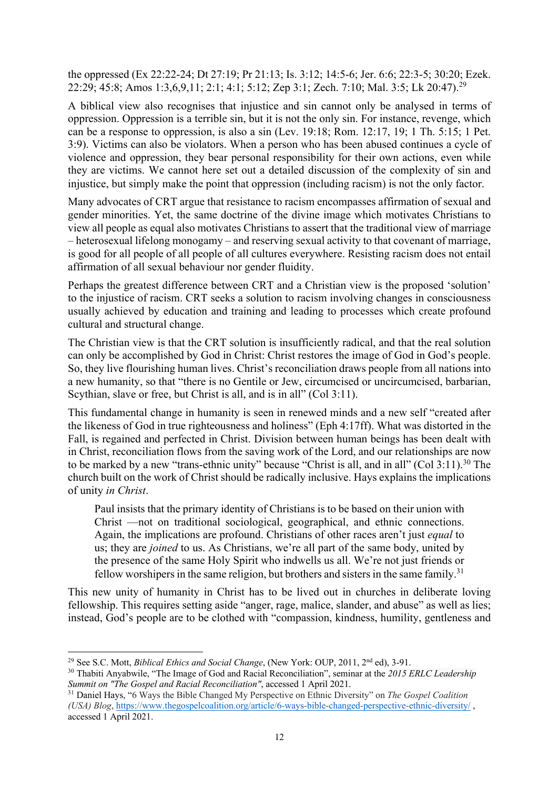the oppressed (Ex 22:22-24; Dt 27:19; Pr 21:13; Is. 3:12; 14:5-6; Jer. 6:6; 22:3-5; 30:20; Ezek. 22:29; 45:8; Amos 1:3,6,9,11; 2:1; 4:1; 5:12; Zep 3:1; Zech. 7:10; Mal. 3:5; Lk 20:47).29

A biblical view also recognises that injustice and sin cannot only be analysed in terms of oppression. Oppression is a terrible sin, but it is not the only sin. For instance, revenge, which can be a response to oppression, is also a sin (Lev. 19:18; Rom. 12:17, 19; 1 Th. 5:15; 1 Pet. 3:9). Victims can also be violators. When a person who has been abused continues a cycle of violence and oppression, they bear personal responsibility for their own actions, even while they are victims. We cannot here set out a detailed discussion of the complexity of sin and injustice, but simply make the point that oppression (including racism) is not the only factor.

Many advocates of CRT argue that resistance to racism encompasses affirmation of sexual and gender minorities. Yet, the same doctrine of the divine image which motivates Christians to view all people as equal also motivates Christians to assert that the traditional view of marriage – heterosexual lifelong monogamy – and reserving sexual activity to that covenant of marriage, is good for all people of all people of all cultures everywhere. Resisting racism does not entail affirmation of all sexual behaviour nor gender fluidity.

Perhaps the greatest difference between CRT and a Christian view is the proposed 'solution' to the injustice of racism. CRT seeks a solution to racism involving changes in consciousness usually achieved by education and training and leading to processes which create profound cultural and structural change.

The Christian view is that the CRT solution is insufficiently radical, and that the real solution can only be accomplished by God in Christ: Christ restores the image of God in God's people. So, they live flourishing human lives. Christ's reconciliation draws people from all nations into a new humanity, so that "there is no Gentile or Jew, circumcised or uncircumcised, barbarian, Scythian, slave or free, but Christ is all, and is in all" (Col 3:11).

This fundamental change in humanity is seen in renewed minds and a new self "created after the likeness of God in true righteousness and holiness" (Eph 4:17ff). What was distorted in the Fall, is regained and perfected in Christ. Division between human beings has been dealt with in Christ, reconciliation flows from the saving work of the Lord, and our relationships are now to be marked by a new "trans-ethnic unity" because "Christ is all, and in all" (Col 3:11).<sup>30</sup> The church built on the work of Christ should be radically inclusive. Hays explains the implications of unity *in Christ*.

Paul insists that the primary identity of Christians is to be based on their union with Christ —not on traditional sociological, geographical, and ethnic connections. Again, the implications are profound. Christians of other races aren't just *equal* to us; they are *joined* to us. As Christians, we're all part of the same body, united by the presence of the same Holy Spirit who indwells us all. We're not just friends or fellow worshipers in the same religion, but brothers and sisters in the same family.<sup>31</sup>

This new unity of humanity in Christ has to be lived out in churches in deliberate loving fellowship. This requires setting aside "anger, rage, malice, slander, and abuse" as well as lies; instead, God's people are to be clothed with "compassion, kindness, humility, gentleness and

<sup>29</sup> See S.C. Mott, *Biblical Ethics and Social Change*, (New York: OUP, 2011, 2nd ed), 3-91.

<sup>30</sup> Thabiti Anyabwile, "The Image of God and Racial Reconciliation", seminar at the *2015 ERLC Leadership Summit on "The Gospel and Racial Reconciliation"*, accessed 1 April 2021.

<sup>31</sup> Daniel Hays, "6 Ways the Bible Changed My Perspective on Ethnic Diversity" on *The Gospel Coalition (USA) Blog*, https://www.thegospelcoalition.org/article/6-ways-bible-changed-perspective-ethnic-diversity/ , accessed 1 April 2021.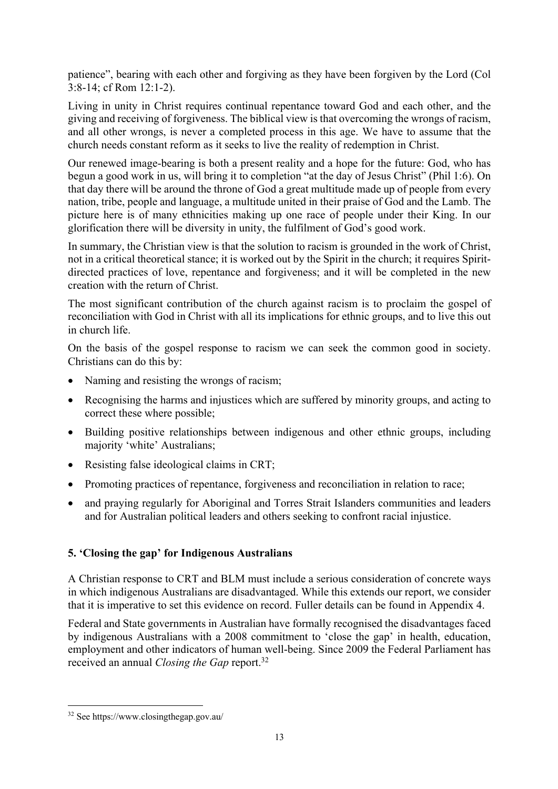patience", bearing with each other and forgiving as they have been forgiven by the Lord (Col 3:8-14; cf Rom 12:1-2).

Living in unity in Christ requires continual repentance toward God and each other, and the giving and receiving of forgiveness. The biblical view is that overcoming the wrongs of racism, and all other wrongs, is never a completed process in this age. We have to assume that the church needs constant reform as it seeks to live the reality of redemption in Christ.

Our renewed image-bearing is both a present reality and a hope for the future: God, who has begun a good work in us, will bring it to completion "at the day of Jesus Christ" (Phil 1:6). On that day there will be around the throne of God a great multitude made up of people from every nation, tribe, people and language, a multitude united in their praise of God and the Lamb. The picture here is of many ethnicities making up one race of people under their King. In our glorification there will be diversity in unity, the fulfilment of God's good work.

In summary, the Christian view is that the solution to racism is grounded in the work of Christ, not in a critical theoretical stance; it is worked out by the Spirit in the church; it requires Spiritdirected practices of love, repentance and forgiveness; and it will be completed in the new creation with the return of Christ.

The most significant contribution of the church against racism is to proclaim the gospel of reconciliation with God in Christ with all its implications for ethnic groups, and to live this out in church life.

On the basis of the gospel response to racism we can seek the common good in society. Christians can do this by:

- Naming and resisting the wrongs of racism;
- Recognising the harms and injustices which are suffered by minority groups, and acting to correct these where possible;
- Building positive relationships between indigenous and other ethnic groups, including majority 'white' Australians;
- Resisting false ideological claims in CRT;
- Promoting practices of repentance, forgiveness and reconciliation in relation to race;
- and praying regularly for Aboriginal and Torres Strait Islanders communities and leaders and for Australian political leaders and others seeking to confront racial injustice.

# **5. 'Closing the gap' for Indigenous Australians**

A Christian response to CRT and BLM must include a serious consideration of concrete ways in which indigenous Australians are disadvantaged. While this extends our report, we consider that it is imperative to set this evidence on record. Fuller details can be found in Appendix 4.

Federal and State governments in Australian have formally recognised the disadvantages faced by indigenous Australians with a 2008 commitment to 'close the gap' in health, education, employment and other indicators of human well-being. Since 2009 the Federal Parliament has received an annual *Closing the Gap* report.32

<sup>32</sup> See https://www.closingthegap.gov.au/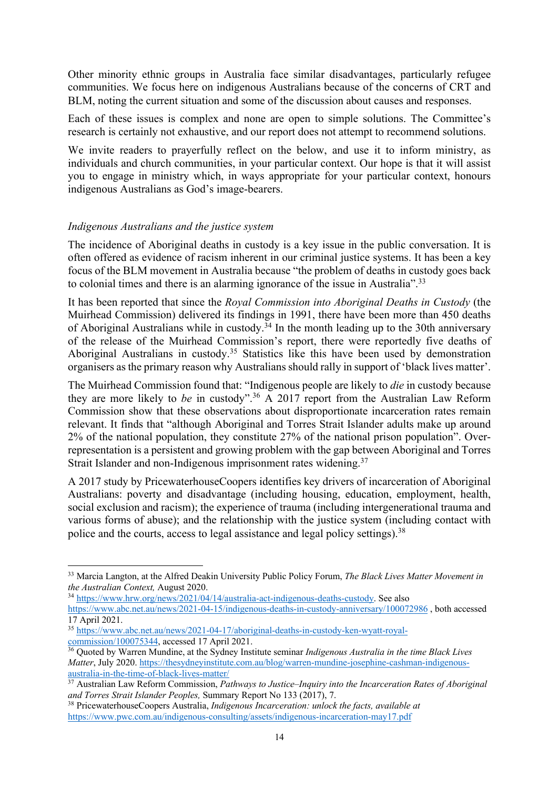Other minority ethnic groups in Australia face similar disadvantages, particularly refugee communities. We focus here on indigenous Australians because of the concerns of CRT and BLM, noting the current situation and some of the discussion about causes and responses.

Each of these issues is complex and none are open to simple solutions. The Committee's research is certainly not exhaustive, and our report does not attempt to recommend solutions.

We invite readers to prayerfully reflect on the below, and use it to inform ministry, as individuals and church communities, in your particular context. Our hope is that it will assist you to engage in ministry which, in ways appropriate for your particular context, honours indigenous Australians as God's image-bearers.

### *Indigenous Australians and the justice system*

The incidence of Aboriginal deaths in custody is a key issue in the public conversation. It is often offered as evidence of racism inherent in our criminal justice systems. It has been a key focus of the BLM movement in Australia because "the problem of deaths in custody goes back to colonial times and there is an alarming ignorance of the issue in Australia".<sup>33</sup>

It has been reported that since the *Royal Commission into Aboriginal Deaths in Custody* (the Muirhead Commission) delivered its findings in 1991, there have been more than 450 deaths of Aboriginal Australians while in custody.<sup>34</sup> In the month leading up to the 30th anniversary of the release of the Muirhead Commission's report, there were reportedly five deaths of Aboriginal Australians in custody.35 Statistics like this have been used by demonstration organisers as the primary reason why Australians should rally in support of 'black lives matter'.

The Muirhead Commission found that: "Indigenous people are likely to *die* in custody because they are more likely to *be* in custody". <sup>36</sup> A 2017 report from the Australian Law Reform Commission show that these observations about disproportionate incarceration rates remain relevant. It finds that "although Aboriginal and Torres Strait Islander adults make up around 2% of the national population, they constitute 27% of the national prison population". Overrepresentation is a persistent and growing problem with the gap between Aboriginal and Torres Strait Islander and non-Indigenous imprisonment rates widening.<sup>37</sup>

A 2017 study by PricewaterhouseCoopers identifies key drivers of incarceration of Aboriginal Australians: poverty and disadvantage (including housing, education, employment, health, social exclusion and racism); the experience of trauma (including intergenerational trauma and various forms of abuse); and the relationship with the justice system (including contact with police and the courts, access to legal assistance and legal policy settings).38

<sup>33</sup> Marcia Langton, at the Alfred Deakin University Public Policy Forum, *The Black Lives Matter Movement in the Australian Context,* August 2020.

<sup>34</sup> https://www.hrw.org/news/2021/04/14/australia-act-indigenous-deaths-custody. See also

https://www.abc.net.au/news/2021-04-15/indigenous-deaths-in-custody-anniversary/100072986 , both accessed 17 April 2021.

<sup>35</sup> https://www.abc.net.au/news/2021-04-17/aboriginal-deaths-in-custody-ken-wyatt-royalcommission/100075344, accessed 17 April 2021.

<sup>36</sup> Quoted by Warren Mundine, at the Sydney Institute seminar *Indigenous Australia in the time Black Lives Matter*, July 2020. https://thesydneyinstitute.com.au/blog/warren-mundine-josephine-cashman-indigenousaustralia-in-the-time-of-black-lives-matter/

<sup>37</sup> Australian Law Reform Commission, *Pathways to Justice–Inquiry into the Incarceration Rates of Aboriginal and Torres Strait Islander Peoples,* Summary Report No 133 (2017), 7. 38 PricewaterhouseCoopers Australia, *Indigenous Incarceration: unlock the facts, available at* 

https://www.pwc.com.au/indigenous-consulting/assets/indigenous-incarceration-may17.pdf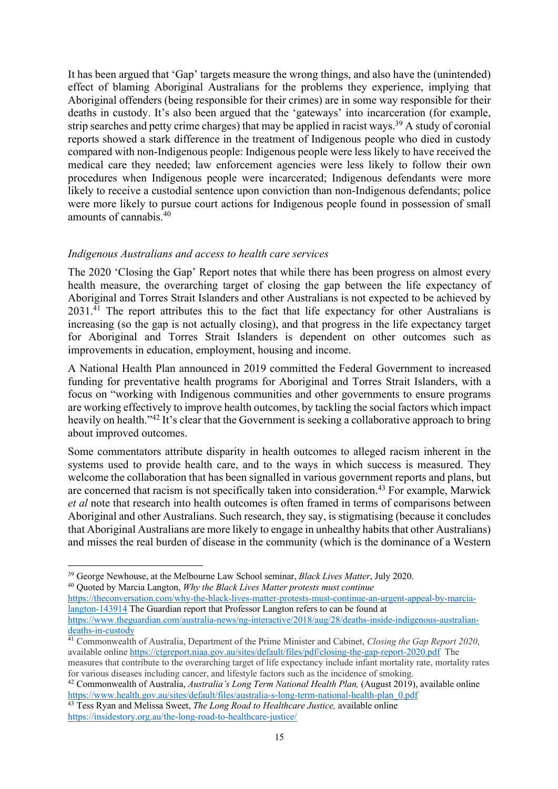It has been argued that 'Gap' targets measure the wrong things, and also have the (unintended) effect of blaming Aboriginal Australians for the problems they experience, implying that Aboriginal offenders (being responsible for their crimes) are in some way responsible for their deaths in custody. It's also been argued that the 'gateways' into incarceration (for example, strip searches and petty crime charges) that may be applied in racist ways.<sup>39</sup> A study of coronial reports showed a stark difference in the treatment of Indigenous people who died in custody compared with non-Indigenous people: Indigenous people were less likely to have received the medical care they needed; law enforcement agencies were less likely to follow their own procedures when Indigenous people were incarcerated; Indigenous defendants were more likely to receive a custodial sentence upon conviction than non-Indigenous defendants; police were more likely to pursue court actions for Indigenous people found in possession of small amounts of cannabis.40

#### *Indigenous Australians and access to health care services*

The 2020 'Closing the Gap' Report notes that while there has been progress on almost every health measure, the overarching target of closing the gap between the life expectancy of Aboriginal and Torres Strait Islanders and other Australians is not expected to be achieved by  $2031.^{\overline{41}}$  The report attributes this to the fact that life expectancy for other Australians is increasing (so the gap is not actually closing), and that progress in the life expectancy target for Aboriginal and Torres Strait Islanders is dependent on other outcomes such as improvements in education, employment, housing and income.

A National Health Plan announced in 2019 committed the Federal Government to increased funding for preventative health programs for Aboriginal and Torres Strait Islanders, with a focus on "working with Indigenous communities and other governments to ensure programs are working effectively to improve health outcomes, by tackling the social factors which impact heavily on health."<sup>42</sup> It's clear that the Government is seeking a collaborative approach to bring about improved outcomes.

Some commentators attribute disparity in health outcomes to alleged racism inherent in the systems used to provide health care, and to the ways in which success is measured. They welcome the collaboration that has been signalled in various government reports and plans, but are concerned that racism is not specifically taken into consideration.<sup>43</sup> For example, Marwick *et al* note that research into health outcomes is often framed in terms of comparisons between Aboriginal and other Australians. Such research, they say, is stigmatising (because it concludes that Aboriginal Australians are more likely to engage in unhealthy habits that other Australians) and misses the real burden of disease in the community (which is the dominance of a Western

<sup>40</sup> Quoted by Marcia Langton, *Why the Black Lives Matter protests must continue*

https://theconversation.com/why-the-black-lives-matter-protests-must-continue-an-urgent-appeal-by-marcialangton-143914 The Guardian report that Professor Langton refers to can be found at https://www.theguardian.com/australia-news/ng-interactive/2018/aug/28/deaths-inside-indigenous-australian-

<sup>42</sup> Commonwealth of Australia, *Australia's Long Term National Health Plan*, (August 2019), available online https://www.health.gov.au/sites/default/files/australia-s-long-term-national-health-plan\_0.pdf

<sup>39</sup> George Newhouse, at the Melbourne Law School seminar, *Black Lives Matter*, July 2020.

deaths-in-custody

<sup>41</sup> Commonwealth of Australia, Department of the Prime Minister and Cabinet, *Closing the Gap Report 2020*, available online https://ctgreport.niaa.gov.au/sites/default/files/pdf/closing-the-gap-report-2020.pdf The measures that contribute to the overarching target of life expectancy include infant mortality rate, mortality rates for various diseases including cancer, and lifestyle factors such as the incidence of smoking.

<sup>43</sup> Tess Ryan and Melissa Sweet, *The Long Road to Healthcare Justice,* available online https://insidestory.org.au/the-long-road-to-healthcare-justice/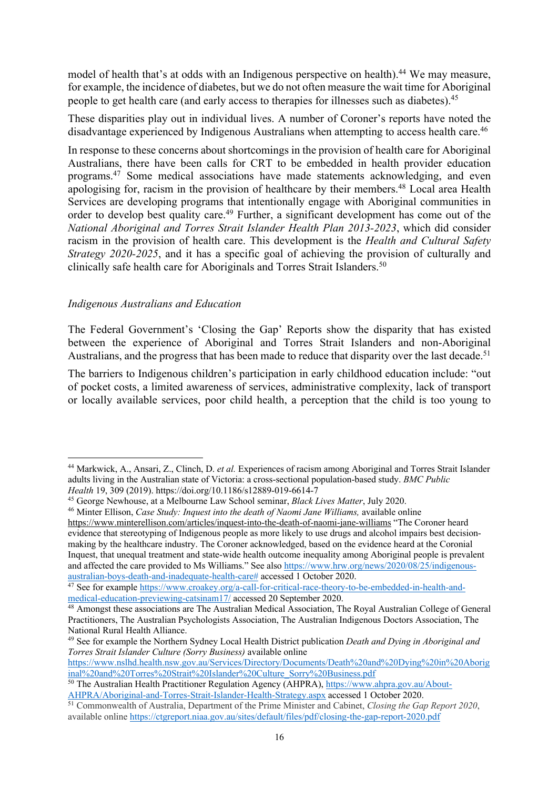model of health that's at odds with an Indigenous perspective on health).<sup>44</sup> We may measure, for example, the incidence of diabetes, but we do not often measure the wait time for Aboriginal people to get health care (and early access to therapies for illnesses such as diabetes).45

These disparities play out in individual lives. A number of Coroner's reports have noted the disadvantage experienced by Indigenous Australians when attempting to access health care.<sup>46</sup>

In response to these concerns about shortcomings in the provision of health care for Aboriginal Australians, there have been calls for CRT to be embedded in health provider education programs.47 Some medical associations have made statements acknowledging, and even apologising for, racism in the provision of healthcare by their members.<sup>48</sup> Local area Health Services are developing programs that intentionally engage with Aboriginal communities in order to develop best quality care.49 Further, a significant development has come out of the *National Aboriginal and Torres Strait Islander Health Plan 2013-2023*, which did consider racism in the provision of health care. This development is the *Health and Cultural Safety Strategy 2020-2025*, and it has a specific goal of achieving the provision of culturally and clinically safe health care for Aboriginals and Torres Strait Islanders.<sup>50</sup>

#### *Indigenous Australians and Education*

The Federal Government's 'Closing the Gap' Reports show the disparity that has existed between the experience of Aboriginal and Torres Strait Islanders and non-Aboriginal Australians, and the progress that has been made to reduce that disparity over the last decade.<sup>51</sup>

The barriers to Indigenous children's participation in early childhood education include: "out of pocket costs, a limited awareness of services, administrative complexity, lack of transport or locally available services, poor child health, a perception that the child is too young to

https://www.nslhd.health.nsw.gov.au/Services/Directory/Documents/Death%20and%20Dying%20in%20Aborig inal%20and%20Torres%20Strait%20Islander%20Culture\_Sorry%20Business.pdf

<sup>44</sup> Markwick, A., Ansari, Z., Clinch, D. *et al.* Experiences of racism among Aboriginal and Torres Strait Islander adults living in the Australian state of Victoria: a cross-sectional population-based study. *BMC Public Health* 19, 309 (2019). https://doi.org/10.1186/s12889-019-6614-7

<sup>45</sup> George Newhouse, at a Melbourne Law School seminar, *Black Lives Matter*, July 2020.

<sup>&</sup>lt;sup>46</sup> Minter Ellison, *Case Study: Inquest into the death of Naomi Jane Williams*, available online https://www.minterellison.com/articles/inquest-into-the-death-of-naomi-jane-williams "The Coroner heard evidence that stereotyping of Indigenous people as more likely to use drugs and alcohol impairs best decisionmaking by the healthcare industry. The Coroner acknowledged, based on the evidence heard at the Coronial Inquest, that unequal treatment and state-wide health outcome inequality among Aboriginal people is prevalent and affected the care provided to Ms Williams." See also https://www.hrw.org/news/2020/08/25/indigenousaustralian-boys-death-and-inadequate-health-care# accessed 1 October 2020.

<sup>47</sup> See for example https://www.croakey.org/a-call-for-critical-race-theory-to-be-embedded-in-health-andmedical-education-previewing-catsinam17/ accessed 20 September 2020.

<sup>48</sup> Amongst these associations are The Australian Medical Association, The Royal Australian College of General Practitioners, The Australian Psychologists Association, The Australian Indigenous Doctors Association, The National Rural Health Alliance.

<sup>49</sup> See for example the Northern Sydney Local Health District publication *Death and Dying in Aboriginal and Torres Strait Islander Culture (Sorry Business)* available online

<sup>50</sup> The Australian Health Practitioner Regulation Agency (AHPRA), https://www.ahpra.gov.au/About-AHPRA/Aboriginal-and-Torres-Strait-Islander-Health-Strategy.aspx accessed 1 October 2020.

<sup>&</sup>lt;sup>51</sup> Commonwealth of Australia, Department of the Prime Minister and Cabinet, *Closing the Gap Report 2020*, available online https://ctgreport.niaa.gov.au/sites/default/files/pdf/closing-the-gap-report-2020.pdf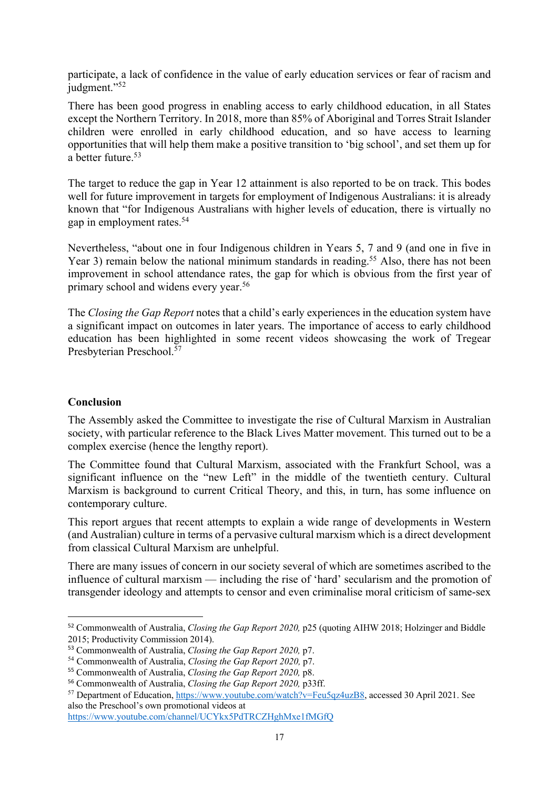participate, a lack of confidence in the value of early education services or fear of racism and judgment."<sup>52</sup>

There has been good progress in enabling access to early childhood education, in all States except the Northern Territory. In 2018, more than 85% of Aboriginal and Torres Strait Islander children were enrolled in early childhood education, and so have access to learning opportunities that will help them make a positive transition to 'big school', and set them up for a better future.53

The target to reduce the gap in Year 12 attainment is also reported to be on track. This bodes well for future improvement in targets for employment of Indigenous Australians: it is already known that "for Indigenous Australians with higher levels of education, there is virtually no gap in employment rates.54

Nevertheless, "about one in four Indigenous children in Years 5, 7 and 9 (and one in five in Year 3) remain below the national minimum standards in reading.<sup>55</sup> Also, there has not been improvement in school attendance rates, the gap for which is obvious from the first year of primary school and widens every year.<sup>56</sup>

The *Closing the Gap Report* notes that a child's early experiences in the education system have a significant impact on outcomes in later years. The importance of access to early childhood education has been highlighted in some recent videos showcasing the work of Tregear Presbyterian Preschool.57

# **Conclusion**

The Assembly asked the Committee to investigate the rise of Cultural Marxism in Australian society, with particular reference to the Black Lives Matter movement. This turned out to be a complex exercise (hence the lengthy report).

The Committee found that Cultural Marxism, associated with the Frankfurt School, was a significant influence on the "new Left" in the middle of the twentieth century. Cultural Marxism is background to current Critical Theory, and this, in turn, has some influence on contemporary culture.

This report argues that recent attempts to explain a wide range of developments in Western (and Australian) culture in terms of a pervasive cultural marxism which is a direct development from classical Cultural Marxism are unhelpful.

There are many issues of concern in our society several of which are sometimes ascribed to the influence of cultural marxism — including the rise of 'hard' secularism and the promotion of transgender ideology and attempts to censor and even criminalise moral criticism of same-sex

<sup>52</sup> Commonwealth of Australia, *Closing the Gap Report 2020,* p25 (quoting AIHW 2018; Holzinger and Biddle 2015; Productivity Commission 2014).

<sup>53</sup> Commonwealth of Australia, *Closing the Gap Report 2020,* p7. 54 Commonwealth of Australia, *Closing the Gap Report 2020,* p7.

<sup>55</sup> Commonwealth of Australia, *Closing the Gap Report 2020,* p8.

<sup>56</sup> Commonwealth of Australia, *Closing the Gap Report 2020,* p33ff.

<sup>57</sup> Department of Education, https://www.youtube.com/watch?v=Feu5qz4uzB8, accessed 30 April 2021. See also the Preschool's own promotional videos at

https://www.youtube.com/channel/UCYkx5PdTRCZHghMxe1fMGfQ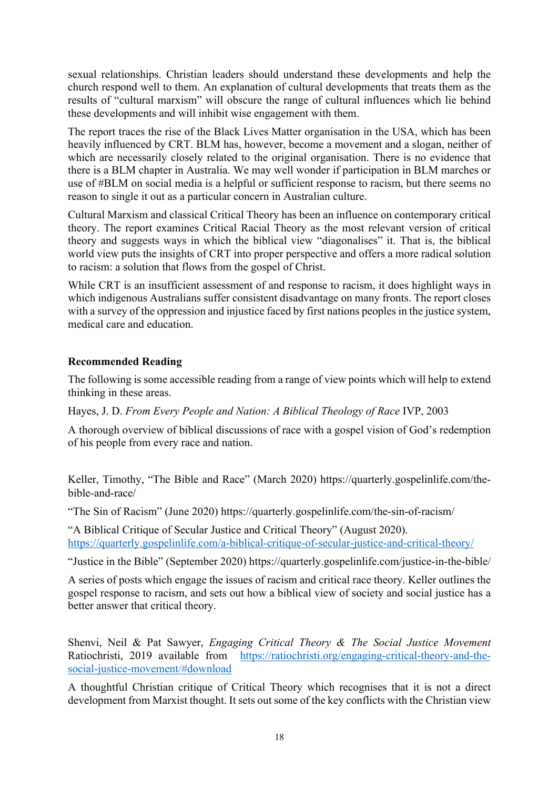sexual relationships. Christian leaders should understand these developments and help the church respond well to them. An explanation of cultural developments that treats them as the results of "cultural marxism" will obscure the range of cultural influences which lie behind these developments and will inhibit wise engagement with them.

The report traces the rise of the Black Lives Matter organisation in the USA, which has been heavily influenced by CRT. BLM has, however, become a movement and a slogan, neither of which are necessarily closely related to the original organisation. There is no evidence that there is a BLM chapter in Australia. We may well wonder if participation in BLM marches or use of #BLM on social media is a helpful or sufficient response to racism, but there seems no reason to single it out as a particular concern in Australian culture.

Cultural Marxism and classical Critical Theory has been an influence on contemporary critical theory. The report examines Critical Racial Theory as the most relevant version of critical theory and suggests ways in which the biblical view "diagonalises" it. That is, the biblical world view puts the insights of CRT into proper perspective and offers a more radical solution to racism: a solution that flows from the gospel of Christ.

While CRT is an insufficient assessment of and response to racism, it does highlight ways in which indigenous Australians suffer consistent disadvantage on many fronts. The report closes with a survey of the oppression and injustice faced by first nations peoples in the justice system, medical care and education.

# **Recommended Reading**

The following is some accessible reading from a range of view points which will help to extend thinking in these areas.

Hayes, J. D. *From Every People and Nation: A Biblical Theology of Race* IVP, 2003

A thorough overview of biblical discussions of race with a gospel vision of God's redemption of his people from every race and nation.

Keller, Timothy, "The Bible and Race" (March 2020) https://quarterly.gospelinlife.com/thebible-and-race/

"The Sin of Racism" (June 2020) https://quarterly.gospelinlife.com/the-sin-of-racism/

"A Biblical Critique of Secular Justice and Critical Theory" (August 2020). https://quarterly.gospelinlife.com/a-biblical-critique-of-secular-justice-and-critical-theory/

"Justice in the Bible" (September 2020) https://quarterly.gospelinlife.com/justice-in-the-bible/

A series of posts which engage the issues of racism and critical race theory. Keller outlines the gospel response to racism, and sets out how a biblical view of society and social justice has a better answer that critical theory.

Shenvi, Neil & Pat Sawyer, *Engaging Critical Theory & The Social Justice Movement*  Ratiochristi, 2019 available from https://ratiochristi.org/engaging-critical-theory-and-thesocial-justice-movement/#download

A thoughtful Christian critique of Critical Theory which recognises that it is not a direct development from Marxist thought. It sets out some of the key conflicts with the Christian view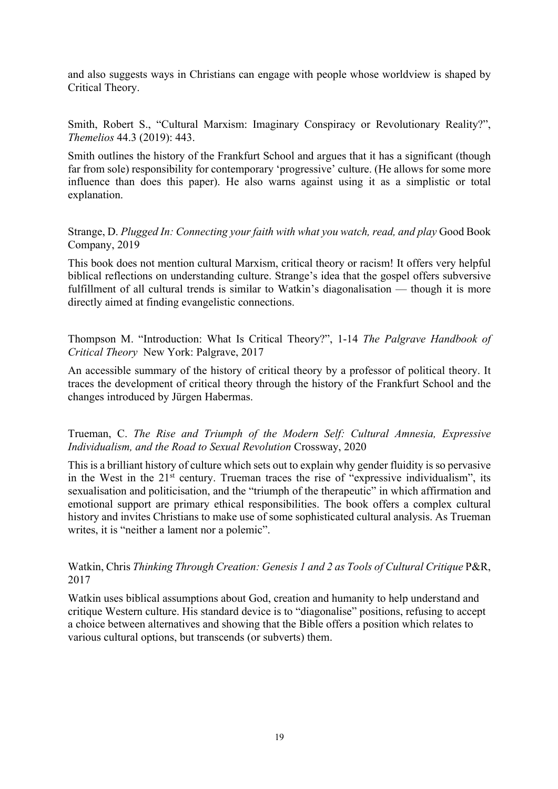and also suggests ways in Christians can engage with people whose worldview is shaped by Critical Theory.

Smith, Robert S., "Cultural Marxism: Imaginary Conspiracy or Revolutionary Reality?", *Themelios* 44.3 (2019): 443.

Smith outlines the history of the Frankfurt School and argues that it has a significant (though far from sole) responsibility for contemporary 'progressive' culture. (He allows for some more influence than does this paper). He also warns against using it as a simplistic or total explanation.

Strange, D. *Plugged In: Connecting your faith with what you watch, read, and play* Good Book Company, 2019

This book does not mention cultural Marxism, critical theory or racism! It offers very helpful biblical reflections on understanding culture. Strange's idea that the gospel offers subversive fulfillment of all cultural trends is similar to Watkin's diagonalisation — though it is more directly aimed at finding evangelistic connections.

Thompson M. "Introduction: What Is Critical Theory?", 1-14 *The Palgrave Handbook of Critical Theory* New York: Palgrave, 2017

An accessible summary of the history of critical theory by a professor of political theory. It traces the development of critical theory through the history of the Frankfurt School and the changes introduced by Jürgen Habermas.

Trueman, C. *The Rise and Triumph of the Modern Self: Cultural Amnesia, Expressive Individualism, and the Road to Sexual Revolution* Crossway, 2020

This is a brilliant history of culture which sets out to explain why gender fluidity is so pervasive in the West in the  $21<sup>st</sup>$  century. Trueman traces the rise of "expressive individualism", its sexualisation and politicisation, and the "triumph of the therapeutic" in which affirmation and emotional support are primary ethical responsibilities. The book offers a complex cultural history and invites Christians to make use of some sophisticated cultural analysis. As Trueman writes, it is "neither a lament nor a polemic".

Watkin, Chris *Thinking Through Creation: Genesis 1 and 2 as Tools of Cultural Critique P&R*, 2017

Watkin uses biblical assumptions about God, creation and humanity to help understand and critique Western culture. His standard device is to "diagonalise" positions, refusing to accept a choice between alternatives and showing that the Bible offers a position which relates to various cultural options, but transcends (or subverts) them.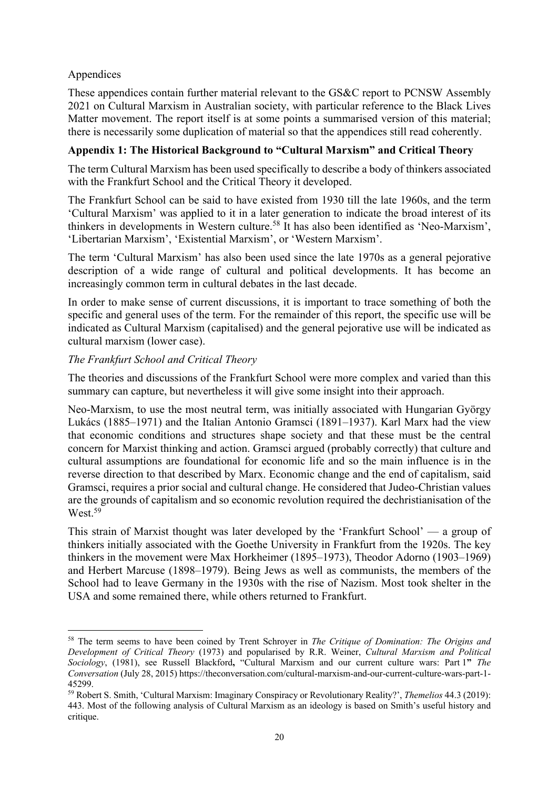# Appendices

These appendices contain further material relevant to the GS&C report to PCNSW Assembly 2021 on Cultural Marxism in Australian society, with particular reference to the Black Lives Matter movement. The report itself is at some points a summarised version of this material; there is necessarily some duplication of material so that the appendices still read coherently.

# **Appendix 1: The Historical Background to "Cultural Marxism" and Critical Theory**

The term Cultural Marxism has been used specifically to describe a body of thinkers associated with the Frankfurt School and the Critical Theory it developed.

The Frankfurt School can be said to have existed from 1930 till the late 1960s, and the term 'Cultural Marxism' was applied to it in a later generation to indicate the broad interest of its thinkers in developments in Western culture.<sup>58</sup> It has also been identified as 'Neo-Marxism', 'Libertarian Marxism', 'Existential Marxism', or 'Western Marxism'.

The term 'Cultural Marxism' has also been used since the late 1970s as a general pejorative description of a wide range of cultural and political developments. It has become an increasingly common term in cultural debates in the last decade.

In order to make sense of current discussions, it is important to trace something of both the specific and general uses of the term. For the remainder of this report, the specific use will be indicated as Cultural Marxism (capitalised) and the general pejorative use will be indicated as cultural marxism (lower case).

# *The Frankfurt School and Critical Theory*

The theories and discussions of the Frankfurt School were more complex and varied than this summary can capture, but nevertheless it will give some insight into their approach.

Neo-Marxism, to use the most neutral term, was initially associated with Hungarian György Lukács (1885–1971) and the Italian Antonio Gramsci (1891–1937). Karl Marx had the view that economic conditions and structures shape society and that these must be the central concern for Marxist thinking and action. Gramsci argued (probably correctly) that culture and cultural assumptions are foundational for economic life and so the main influence is in the reverse direction to that described by Marx. Economic change and the end of capitalism, said Gramsci, requires a prior social and cultural change. He considered that Judeo-Christian values are the grounds of capitalism and so economic revolution required the dechristianisation of the West.<sup>59</sup>

This strain of Marxist thought was later developed by the 'Frankfurt School' — a group of thinkers initially associated with the Goethe University in Frankfurt from the 1920s. The key thinkers in the movement were Max Horkheimer (1895–1973), Theodor Adorno (1903–1969) and Herbert Marcuse (1898–1979). Being Jews as well as communists, the members of the School had to leave Germany in the 1930s with the rise of Nazism. Most took shelter in the USA and some remained there, while others returned to Frankfurt.

<sup>58</sup> The term seems to have been coined by Trent Schroyer in *The Critique of Domination: The Origins and Development of Critical Theory* (1973) and popularised by R.R. Weiner, *Cultural Marxism and Political Sociology*, (1981), see Russell Blackford**,** "Cultural Marxism and our current culture wars: Part 1**"** *The Conversation* (July 28, 2015) https://theconversation.com/cultural-marxism-and-our-current-culture-wars-part-1- 45299. 59 Robert S. Smith, 'Cultural Marxism: Imaginary Conspiracy or Revolutionary Reality?', *Themelios* 44.3 (2019):

<sup>443.</sup> Most of the following analysis of Cultural Marxism as an ideology is based on Smith's useful history and critique.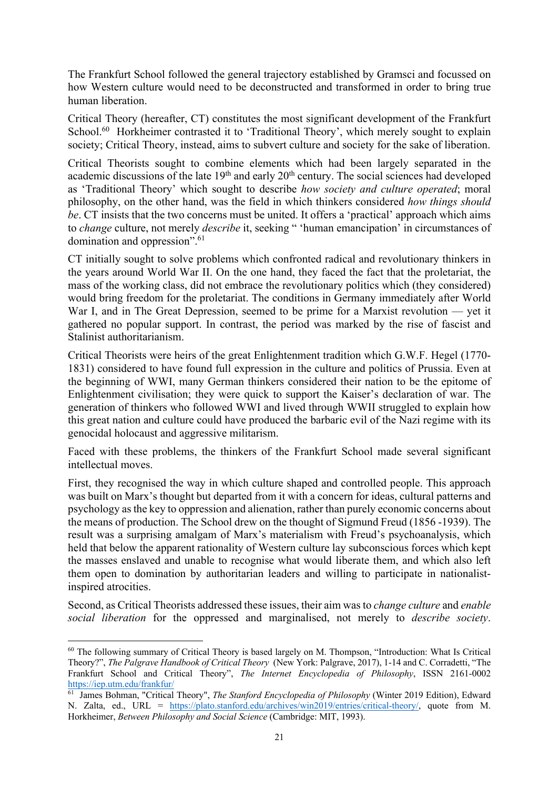The Frankfurt School followed the general trajectory established by Gramsci and focussed on how Western culture would need to be deconstructed and transformed in order to bring true human liberation.

Critical Theory (hereafter, CT) constitutes the most significant development of the Frankfurt School.<sup>60</sup> Horkheimer contrasted it to 'Traditional Theory', which merely sought to explain society; Critical Theory, instead, aims to subvert culture and society for the sake of liberation.

Critical Theorists sought to combine elements which had been largely separated in the academic discussions of the late 19<sup>th</sup> and early 20<sup>th</sup> century. The social sciences had developed as 'Traditional Theory' which sought to describe *how society and culture operated*; moral philosophy, on the other hand, was the field in which thinkers considered *how things should be*. CT insists that the two concerns must be united. It offers a 'practical' approach which aims to *change* culture, not merely *describe* it, seeking " 'human emancipation' in circumstances of domination and oppression".61

CT initially sought to solve problems which confronted radical and revolutionary thinkers in the years around World War II. On the one hand, they faced the fact that the proletariat, the mass of the working class, did not embrace the revolutionary politics which (they considered) would bring freedom for the proletariat. The conditions in Germany immediately after World War I, and in The Great Depression, seemed to be prime for a Marxist revolution — yet it gathered no popular support. In contrast, the period was marked by the rise of fascist and Stalinist authoritarianism.

Critical Theorists were heirs of the great Enlightenment tradition which G.W.F. Hegel (1770- 1831) considered to have found full expression in the culture and politics of Prussia. Even at the beginning of WWI, many German thinkers considered their nation to be the epitome of Enlightenment civilisation; they were quick to support the Kaiser's declaration of war. The generation of thinkers who followed WWI and lived through WWII struggled to explain how this great nation and culture could have produced the barbaric evil of the Nazi regime with its genocidal holocaust and aggressive militarism.

Faced with these problems, the thinkers of the Frankfurt School made several significant intellectual moves.

First, they recognised the way in which culture shaped and controlled people. This approach was built on Marx's thought but departed from it with a concern for ideas, cultural patterns and psychology as the key to oppression and alienation, rather than purely economic concerns about the means of production. The School drew on the thought of Sigmund Freud (1856 -1939). The result was a surprising amalgam of Marx's materialism with Freud's psychoanalysis, which held that below the apparent rationality of Western culture lay subconscious forces which kept the masses enslaved and unable to recognise what would liberate them, and which also left them open to domination by authoritarian leaders and willing to participate in nationalistinspired atrocities.

Second, as Critical Theorists addressed these issues, their aim was to *change culture* and *enable social liberation* for the oppressed and marginalised, not merely to *describe society*.

<sup>&</sup>lt;sup>60</sup> The following summary of Critical Theory is based largely on M. Thompson, "Introduction: What Is Critical Theory?", *The Palgrave Handbook of Critical Theory* (New York: Palgrave, 2017), 1-14 and C. Corradetti, "The Frankfurt School and Critical Theory", *The Internet Encyclopedia of Philosophy*, ISSN 2161-0002 https://iep.utm.edu/frankfur/

<sup>61</sup> James Bohman, "Critical Theory", *The Stanford Encyclopedia of Philosophy* (Winter 2019 Edition), Edward N. Zalta, ed., URL = https://plato.stanford.edu/archives/win2019/entries/critical-theory/, quote from M. Horkheimer, *Between Philosophy and Social Science* (Cambridge: MIT, 1993).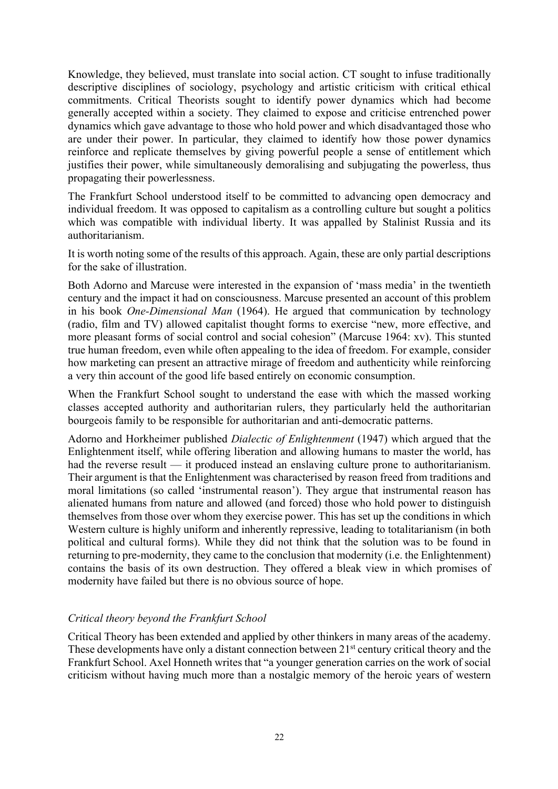Knowledge, they believed, must translate into social action. CT sought to infuse traditionally descriptive disciplines of sociology, psychology and artistic criticism with critical ethical commitments. Critical Theorists sought to identify power dynamics which had become generally accepted within a society. They claimed to expose and criticise entrenched power dynamics which gave advantage to those who hold power and which disadvantaged those who are under their power. In particular, they claimed to identify how those power dynamics reinforce and replicate themselves by giving powerful people a sense of entitlement which justifies their power, while simultaneously demoralising and subjugating the powerless, thus propagating their powerlessness.

The Frankfurt School understood itself to be committed to advancing open democracy and individual freedom. It was opposed to capitalism as a controlling culture but sought a politics which was compatible with individual liberty. It was appalled by Stalinist Russia and its authoritarianism.

It is worth noting some of the results of this approach. Again, these are only partial descriptions for the sake of illustration.

Both Adorno and Marcuse were interested in the expansion of 'mass media' in the twentieth century and the impact it had on consciousness. Marcuse presented an account of this problem in his book *One-Dimensional Man* (1964). He argued that communication by technology (radio, film and TV) allowed capitalist thought forms to exercise "new, more effective, and more pleasant forms of social control and social cohesion" (Marcuse 1964: xv). This stunted true human freedom, even while often appealing to the idea of freedom. For example, consider how marketing can present an attractive mirage of freedom and authenticity while reinforcing a very thin account of the good life based entirely on economic consumption.

When the Frankfurt School sought to understand the ease with which the massed working classes accepted authority and authoritarian rulers, they particularly held the authoritarian bourgeois family to be responsible for authoritarian and anti-democratic patterns.

Adorno and Horkheimer published *Dialectic of Enlightenment* (1947) which argued that the Enlightenment itself, while offering liberation and allowing humans to master the world, has had the reverse result — it produced instead an enslaving culture prone to authoritarianism. Their argument is that the Enlightenment was characterised by reason freed from traditions and moral limitations (so called 'instrumental reason'). They argue that instrumental reason has alienated humans from nature and allowed (and forced) those who hold power to distinguish themselves from those over whom they exercise power. This has set up the conditions in which Western culture is highly uniform and inherently repressive, leading to totalitarianism (in both political and cultural forms). While they did not think that the solution was to be found in returning to pre-modernity, they came to the conclusion that modernity (i.e. the Enlightenment) contains the basis of its own destruction. They offered a bleak view in which promises of modernity have failed but there is no obvious source of hope.

# *Critical theory beyond the Frankfurt School*

Critical Theory has been extended and applied by other thinkers in many areas of the academy. These developments have only a distant connection between 21<sup>st</sup> century critical theory and the Frankfurt School. Axel Honneth writes that "a younger generation carries on the work of social criticism without having much more than a nostalgic memory of the heroic years of western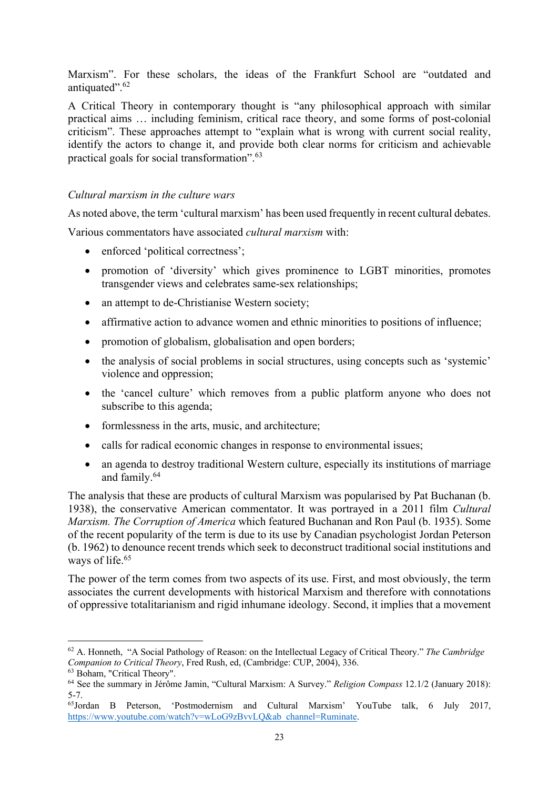Marxism". For these scholars, the ideas of the Frankfurt School are "outdated and antiquated".62

A Critical Theory in contemporary thought is "any philosophical approach with similar practical aims … including feminism, critical race theory, and some forms of post-colonial criticism". These approaches attempt to "explain what is wrong with current social reality, identify the actors to change it, and provide both clear norms for criticism and achievable practical goals for social transformation".63

#### *Cultural marxism in the culture wars*

As noted above, the term 'cultural marxism' has been used frequently in recent cultural debates.

Various commentators have associated *cultural marxism* with:

- enforced 'political correctness';
- promotion of 'diversity' which gives prominence to LGBT minorities, promotes transgender views and celebrates same-sex relationships;
- an attempt to de-Christianise Western society:
- affirmative action to advance women and ethnic minorities to positions of influence;
- promotion of globalism, globalisation and open borders;
- the analysis of social problems in social structures, using concepts such as 'systemic' violence and oppression;
- the 'cancel culture' which removes from a public platform anyone who does not subscribe to this agenda;
- formlessness in the arts, music, and architecture;
- calls for radical economic changes in response to environmental issues;
- an agenda to destroy traditional Western culture, especially its institutions of marriage and family.64

The analysis that these are products of cultural Marxism was popularised by Pat Buchanan (b. 1938), the conservative American commentator. It was portrayed in a 2011 film *Cultural Marxism. The Corruption of America* which featured Buchanan and Ron Paul (b. 1935). Some of the recent popularity of the term is due to its use by Canadian psychologist Jordan Peterson (b. 1962) to denounce recent trends which seek to deconstruct traditional social institutions and ways of life.<sup>65</sup>

The power of the term comes from two aspects of its use. First, and most obviously, the term associates the current developments with historical Marxism and therefore with connotations of oppressive totalitarianism and rigid inhumane ideology. Second, it implies that a movement

<sup>62</sup> A. Honneth, "A Social Pathology of Reason: on the Intellectual Legacy of Critical Theory." *The Cambridge Companion to Critical Theory*, Fred Rush, ed, (Cambridge: CUP, 2004), 336.

<sup>63</sup> Boham, "Critical Theory".

<sup>64</sup> See the summary in Jérôme Jamin, "Cultural Marxism: A Survey." *Religion Compass* 12.1/2 (January 2018): 5-7.

<sup>65</sup>Jordan B Peterson, 'Postmodernism and Cultural Marxism' YouTube talk, 6 July 2017, https://www.youtube.com/watch?v=wLoG9zBvvLO&ab\_channel=Ruminate.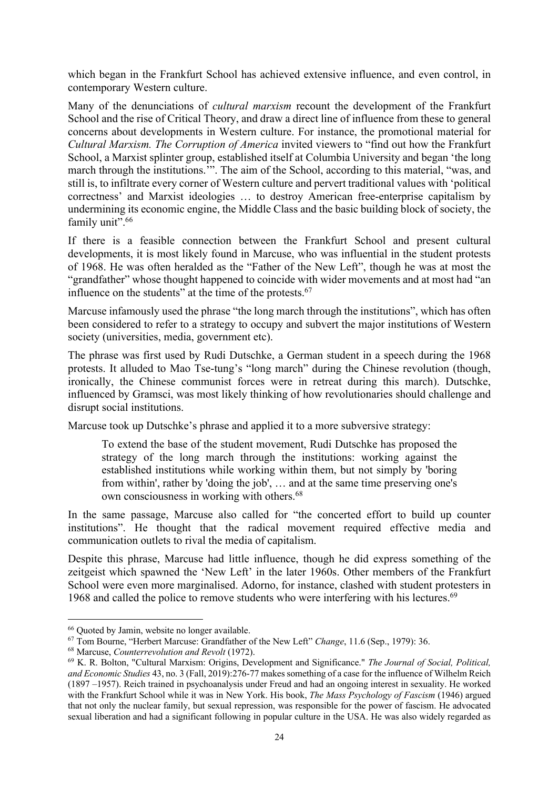which began in the Frankfurt School has achieved extensive influence, and even control, in contemporary Western culture.

Many of the denunciations of *cultural marxism* recount the development of the Frankfurt School and the rise of Critical Theory, and draw a direct line of influence from these to general concerns about developments in Western culture. For instance, the promotional material for *Cultural Marxism. The Corruption of America* invited viewers to "find out how the Frankfurt School, a Marxist splinter group, established itself at Columbia University and began 'the long march through the institutions.'". The aim of the School, according to this material, "was, and still is, to infiltrate every corner of Western culture and pervert traditional values with 'political correctness' and Marxist ideologies … to destroy American free‐enterprise capitalism by undermining its economic engine, the Middle Class and the basic building block of society, the family unit".<sup>66</sup>

If there is a feasible connection between the Frankfurt School and present cultural developments, it is most likely found in Marcuse, who was influential in the student protests of 1968. He was often heralded as the "Father of the New Left", though he was at most the "grandfather" whose thought happened to coincide with wider movements and at most had "an influence on the students" at the time of the protests.<sup>67</sup>

Marcuse infamously used the phrase "the long march through the institutions", which has often been considered to refer to a strategy to occupy and subvert the major institutions of Western society (universities, media, government etc).

The phrase was first used by Rudi Dutschke, a German student in a speech during the 1968 protests. It alluded to Mao Tse-tung's "long march" during the Chinese revolution (though, ironically, the Chinese communist forces were in retreat during this march). Dutschke, influenced by Gramsci, was most likely thinking of how revolutionaries should challenge and disrupt social institutions.

Marcuse took up Dutschke's phrase and applied it to a more subversive strategy:

To extend the base of the student movement, Rudi Dutschke has proposed the strategy of the long march through the institutions: working against the established institutions while working within them, but not simply by 'boring from within', rather by 'doing the job', … and at the same time preserving one's own consciousness in working with others.<sup>68</sup>

In the same passage, Marcuse also called for "the concerted effort to build up counter institutions". He thought that the radical movement required effective media and communication outlets to rival the media of capitalism.

Despite this phrase, Marcuse had little influence, though he did express something of the zeitgeist which spawned the 'New Left' in the later 1960s. Other members of the Frankfurt School were even more marginalised. Adorno, for instance, clashed with student protesters in 1968 and called the police to remove students who were interfering with his lectures.<sup>69</sup>

<sup>66</sup> Quoted by Jamin, website no longer available.

<sup>67</sup> Tom Bourne, "Herbert Marcuse: Grandfather of the New Left" *Change*, 11.6 (Sep., 1979): 36. 68 Marcuse, *Counterrevolution and Revolt* (1972).

<sup>69</sup> K. R. Bolton, "Cultural Marxism: Origins, Development and Significance." *The Journal of Social, Political, and Economic Studies* 43, no. 3 (Fall, 2019):276-77 makes something of a case for the influence of Wilhelm Reich (1897 –1957). Reich trained in psychoanalysis under Freud and had an ongoing interest in sexuality. He worked with the Frankfurt School while it was in New York. His book, *The Mass Psychology of Fascism* (1946) argued that not only the nuclear family, but sexual repression, was responsible for the power of fascism. He advocated sexual liberation and had a significant following in popular culture in the USA. He was also widely regarded as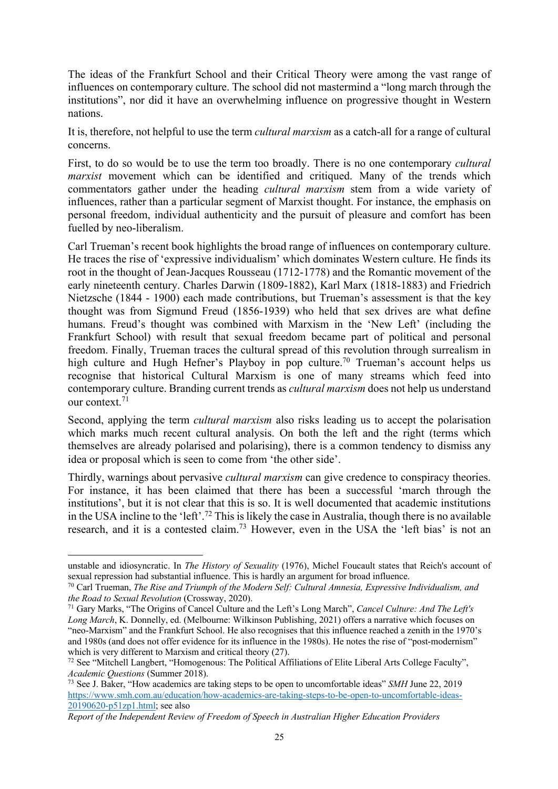The ideas of the Frankfurt School and their Critical Theory were among the vast range of influences on contemporary culture. The school did not mastermind a "long march through the institutions", nor did it have an overwhelming influence on progressive thought in Western nations.

It is, therefore, not helpful to use the term *cultural marxism* as a catch-all for a range of cultural concerns.

First, to do so would be to use the term too broadly. There is no one contemporary *cultural marxist* movement which can be identified and critiqued. Many of the trends which commentators gather under the heading *cultural marxism* stem from a wide variety of influences, rather than a particular segment of Marxist thought. For instance, the emphasis on personal freedom, individual authenticity and the pursuit of pleasure and comfort has been fuelled by neo-liberalism.

Carl Trueman's recent book highlights the broad range of influences on contemporary culture. He traces the rise of 'expressive individualism' which dominates Western culture. He finds its root in the thought of Jean-Jacques Rousseau (1712-1778) and the Romantic movement of the early nineteenth century. Charles Darwin (1809-1882), Karl Marx (1818-1883) and Friedrich Nietzsche (1844 - 1900) each made contributions, but Trueman's assessment is that the key thought was from Sigmund Freud (1856-1939) who held that sex drives are what define humans. Freud's thought was combined with Marxism in the 'New Left' (including the Frankfurt School) with result that sexual freedom became part of political and personal freedom. Finally, Trueman traces the cultural spread of this revolution through surrealism in high culture and Hugh Hefner's Playboy in pop culture.<sup>70</sup> Trueman's account helps us recognise that historical Cultural Marxism is one of many streams which feed into contemporary culture. Branding current trends as *cultural marxism* does not help us understand our context.71

Second, applying the term *cultural marxism* also risks leading us to accept the polarisation which marks much recent cultural analysis. On both the left and the right (terms which themselves are already polarised and polarising), there is a common tendency to dismiss any idea or proposal which is seen to come from 'the other side'.

Thirdly, warnings about pervasive *cultural marxism* can give credence to conspiracy theories. For instance, it has been claimed that there has been a successful 'march through the institutions', but it is not clear that this is so. It is well documented that academic institutions in the USA incline to the 'left'. <sup>72</sup> This is likely the case in Australia, though there is no available research, and it is a contested claim.73 However, even in the USA the 'left bias' is not an

unstable and idiosyncratic. In *The History of Sexuality* (1976), Michel Foucault states that Reich's account of sexual repression had substantial influence. This is hardly an argument for broad influence.

<sup>70</sup> Carl Trueman, *The Rise and Triumph of the Modern Self: Cultural Amnesia, Expressive Individualism, and the Road to Sexual Revolution* (Crossway, 2020).

<sup>71</sup> Gary Marks, "The Origins of Cancel Culture and the Left's Long March", *Cancel Culture: And The Left's Long March*, K. Donnelly, ed. (Melbourne: Wilkinson Publishing, 2021) offers a narrative which focuses on "neo-Marxism" and the Frankfurt School. He also recognises that this influence reached a zenith in the 1970's and 1980s (and does not offer evidence for its influence in the 1980s). He notes the rise of "post-modernism" which is very different to Marxism and critical theory (27).<br><sup>72</sup> See "Mitchell Langbert, "Homogenous: The Political Affiliations of Elite Liberal Arts College Faculty",

*Academic Questions* (Summer 2018).

<sup>73</sup> See J. Baker, "How academics are taking steps to be open to uncomfortable ideas" *SMH* June 22, 2019 https://www.smh.com.au/education/how-academics-are-taking-steps-to-be-open-to-uncomfortable-ideas-20190620-p51zp1.html; see also

*Report of the Independent Review of Freedom of Speech in Australian Higher Education Providers*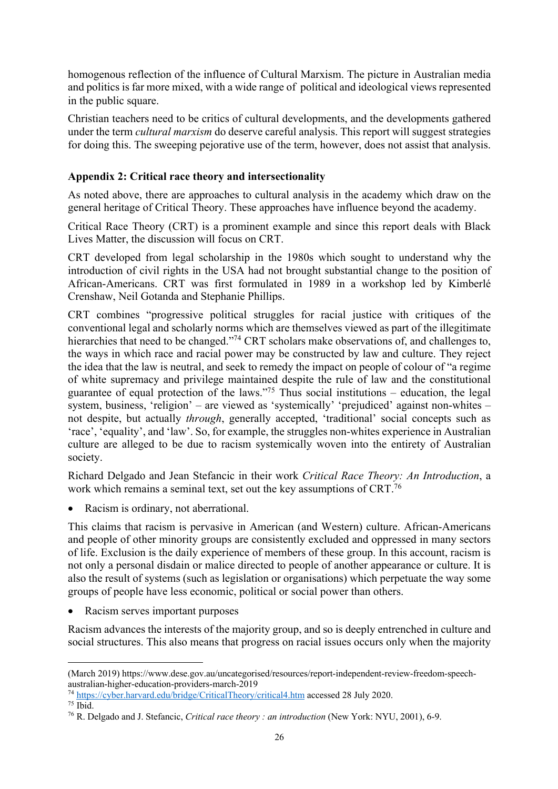homogenous reflection of the influence of Cultural Marxism. The picture in Australian media and politics is far more mixed, with a wide range of political and ideological views represented in the public square.

Christian teachers need to be critics of cultural developments, and the developments gathered under the term *cultural marxism* do deserve careful analysis. This report will suggest strategies for doing this. The sweeping pejorative use of the term, however, does not assist that analysis.

# **Appendix 2: Critical race theory and intersectionality**

As noted above, there are approaches to cultural analysis in the academy which draw on the general heritage of Critical Theory. These approaches have influence beyond the academy.

Critical Race Theory (CRT) is a prominent example and since this report deals with Black Lives Matter, the discussion will focus on CRT.

CRT developed from legal scholarship in the 1980s which sought to understand why the introduction of civil rights in the USA had not brought substantial change to the position of African-Americans. CRT was first formulated in 1989 in a workshop led by Kimberlé Crenshaw, Neil Gotanda and Stephanie Phillips.

CRT combines "progressive political struggles for racial justice with critiques of the conventional legal and scholarly norms which are themselves viewed as part of the illegitimate hierarchies that need to be changed."<sup>74</sup> CRT scholars make observations of, and challenges to, the ways in which race and racial power may be constructed by law and culture. They reject the idea that the law is neutral, and seek to remedy the impact on people of colour of "a regime of white supremacy and privilege maintained despite the rule of law and the constitutional guarantee of equal protection of the laws."<sup>75</sup> Thus social institutions – education, the legal system, business, 'religion' – are viewed as 'systemically' 'prejudiced' against non-whites – not despite, but actually *through*, generally accepted, 'traditional' social concepts such as 'race', 'equality', and 'law'. So, for example, the struggles non-whites experience in Australian culture are alleged to be due to racism systemically woven into the entirety of Australian society.

Richard Delgado and Jean Stefancic in their work *Critical Race Theory: An Introduction*, a work which remains a seminal text, set out the key assumptions of CRT.<sup>76</sup>

• Racism is ordinary, not aberrational.

This claims that racism is pervasive in American (and Western) culture. African-Americans and people of other minority groups are consistently excluded and oppressed in many sectors of life. Exclusion is the daily experience of members of these group. In this account, racism is not only a personal disdain or malice directed to people of another appearance or culture. It is also the result of systems (such as legislation or organisations) which perpetuate the way some groups of people have less economic, political or social power than others.

Racism serves important purposes

Racism advances the interests of the majority group, and so is deeply entrenched in culture and social structures. This also means that progress on racial issues occurs only when the majority

<sup>(</sup>March 2019) https://www.dese.gov.au/uncategorised/resources/report-independent-review-freedom-speechaustralian-higher-education-providers-march-2019

<sup>74</sup> https://cyber.harvard.edu/bridge/CriticalTheory/critical4.htm accessed 28 July 2020.

 $75 \overline{\text{Ibid}}$ 

<sup>76</sup> R. Delgado and J. Stefancic, *Critical race theory : an introduction* (New York: NYU, 2001), 6-9.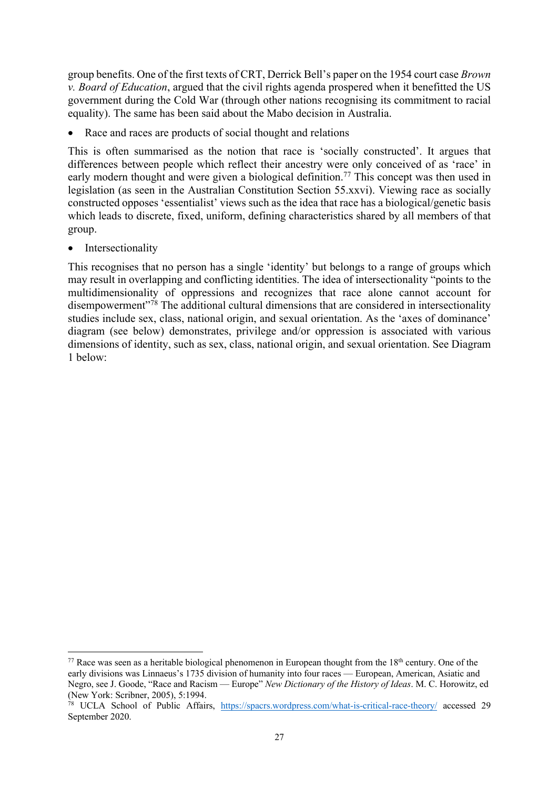group benefits. One of the first texts of CRT, Derrick Bell's paper on the 1954 court case *Brown v. Board of Education*, argued that the civil rights agenda prospered when it benefitted the US government during the Cold War (through other nations recognising its commitment to racial equality). The same has been said about the Mabo decision in Australia.

• Race and races are products of social thought and relations

This is often summarised as the notion that race is 'socially constructed'. It argues that differences between people which reflect their ancestry were only conceived of as 'race' in early modern thought and were given a biological definition.<sup>77</sup> This concept was then used in legislation (as seen in the Australian Constitution Section 55.xxvi). Viewing race as socially constructed opposes 'essentialist' views such as the idea that race has a biological/genetic basis which leads to discrete, fixed, uniform, defining characteristics shared by all members of that group.

• Intersectionality

This recognises that no person has a single 'identity' but belongs to a range of groups which may result in overlapping and conflicting identities. The idea of intersectionality "points to the multidimensionality of oppressions and recognizes that race alone cannot account for disempowerment"<sup>78</sup> The additional cultural dimensions that are considered in intersectionality studies include sex, class, national origin, and sexual orientation. As the 'axes of dominance' diagram (see below) demonstrates, privilege and/or oppression is associated with various dimensions of identity, such as sex, class, national origin, and sexual orientation. See Diagram 1 below:

<sup>&</sup>lt;sup>77</sup> Race was seen as a heritable biological phenomenon in European thought from the  $18<sup>th</sup>$  century. One of the early divisions was Linnaeus's 1735 division of humanity into four races — European, American, Asiatic and Negro, see J. Goode, "Race and Racism — Europe" *New Dictionary of the History of Ideas*. M. C. Horowitz, ed (New York: Scribner, 2005), 5:1994.

<sup>78</sup> UCLA School of Public Affairs, https://spacrs.wordpress.com/what-is-critical-race-theory/ accessed 29 September 2020.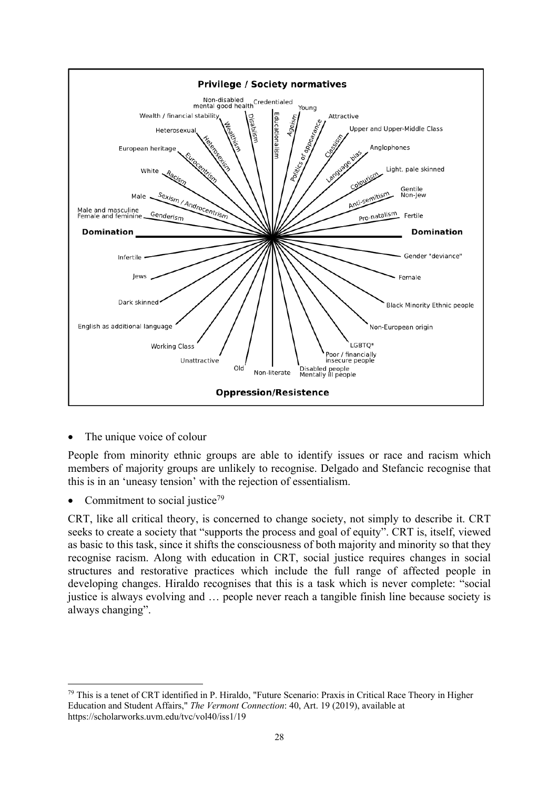

The unique voice of colour

People from minority ethnic groups are able to identify issues or race and racism which members of majority groups are unlikely to recognise. Delgado and Stefancic recognise that this is in an 'uneasy tension' with the rejection of essentialism.

Commitment to social justice<sup>79</sup>

CRT, like all critical theory, is concerned to change society, not simply to describe it. CRT seeks to create a society that "supports the process and goal of equity". CRT is, itself, viewed as basic to this task, since it shifts the consciousness of both majority and minority so that they recognise racism. Along with education in CRT, social justice requires changes in social structures and restorative practices which include the full range of affected people in developing changes. Hiraldo recognises that this is a task which is never complete: "social justice is always evolving and … people never reach a tangible finish line because society is always changing".

<sup>79</sup> This is a tenet of CRT identified in P. Hiraldo, "Future Scenario: Praxis in Critical Race Theory in Higher Education and Student Affairs," *The Vermont Connection*: 40, Art. 19 (2019), available at https://scholarworks.uvm.edu/tvc/vol40/iss1/19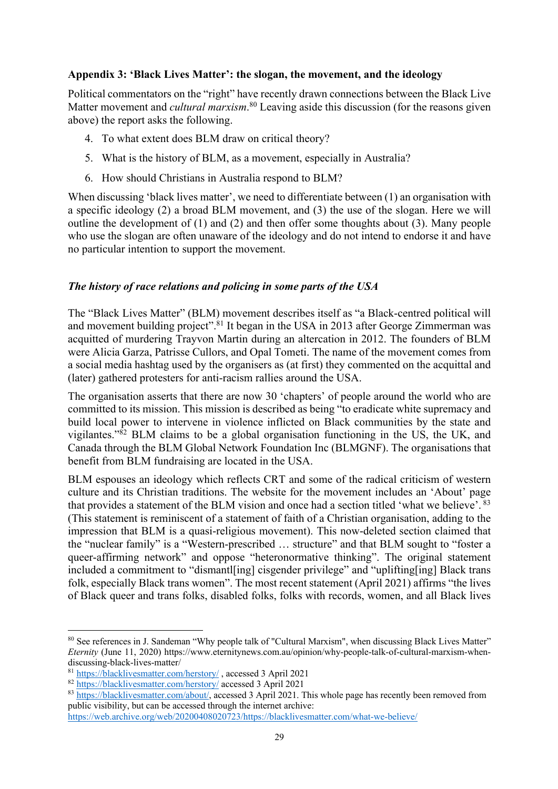### **Appendix 3: 'Black Lives Matter': the slogan, the movement, and the ideology**

Political commentators on the "right" have recently drawn connections between the Black Live Matter movement and *cultural marxism*. <sup>80</sup> Leaving aside this discussion (for the reasons given above) the report asks the following.

- 4. To what extent does BLM draw on critical theory?
- 5. What is the history of BLM, as a movement, especially in Australia?
- 6. How should Christians in Australia respond to BLM?

When discussing 'black lives matter', we need to differentiate between (1) an organisation with a specific ideology (2) a broad BLM movement, and (3) the use of the slogan. Here we will outline the development of (1) and (2) and then offer some thoughts about (3). Many people who use the slogan are often unaware of the ideology and do not intend to endorse it and have no particular intention to support the movement.

### *The history of race relations and policing in some parts of the USA*

The "Black Lives Matter" (BLM) movement describes itself as "a Black-centred political will and movement building project".<sup>81</sup> It began in the USA in 2013 after George Zimmerman was acquitted of murdering Trayvon Martin during an altercation in 2012. The founders of BLM were Alicia Garza, Patrisse Cullors, and Opal Tometi. The name of the movement comes from a social media hashtag used by the organisers as (at first) they commented on the acquittal and (later) gathered protesters for anti-racism rallies around the USA.

The organisation asserts that there are now 30 'chapters' of people around the world who are committed to its mission. This mission is described as being "to eradicate white supremacy and build local power to intervene in violence inflicted on Black communities by the state and vigilantes." $82$  BLM claims to be a global organisation functioning in the US, the UK, and Canada through the BLM Global Network Foundation Inc (BLMGNF). The organisations that benefit from BLM fundraising are located in the USA.

BLM espouses an ideology which reflects CRT and some of the radical criticism of western culture and its Christian traditions. The website for the movement includes an 'About' page that provides a statement of the BLM vision and once had a section titled 'what we believe'. <sup>83</sup> (This statement is reminiscent of a statement of faith of a Christian organisation, adding to the impression that BLM is a quasi-religious movement). This now-deleted section claimed that the "nuclear family" is a "Western-prescribed … structure" and that BLM sought to "foster a queer-affirming network" and oppose "heteronormative thinking". The original statement included a commitment to "dismant ling cisgender privilege" and "uplifting [ing] Black trans folk, especially Black trans women". The most recent statement (April 2021) affirms "the lives of Black queer and trans folks, disabled folks, folks with records, women, and all Black lives

<sup>&</sup>lt;sup>80</sup> See references in J. Sandeman "Why people talk of "Cultural Marxism", when discussing Black Lives Matter" *Eternity* (June 11, 2020) https://www.eternitynews.com.au/opinion/why-people-talk-of-cultural-marxism-whendiscussing-black-lives-matter/

<sup>81</sup> https://blacklivesmatter.com/herstory/ , accessed 3 April 2021

<sup>82</sup> https://blacklivesmatter.com/herstory/ accessed 3 April 2021

<sup>83</sup> https://blacklivesmatter.com/about/, accessed 3 April 2021. This whole page has recently been removed from public visibility, but can be accessed through the internet archive:

https://web.archive.org/web/20200408020723/https://blacklivesmatter.com/what-we-believe/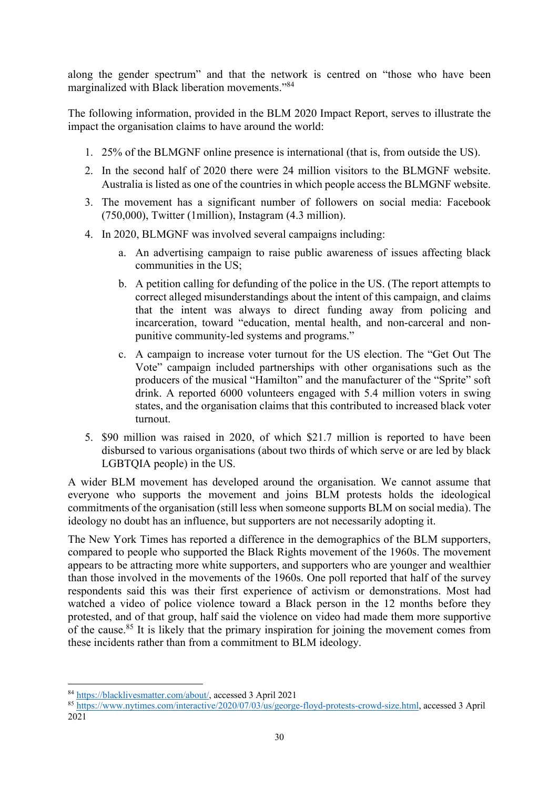along the gender spectrum" and that the network is centred on "those who have been marginalized with Black liberation movements."84

The following information, provided in the BLM 2020 Impact Report, serves to illustrate the impact the organisation claims to have around the world:

- 1. 25% of the BLMGNF online presence is international (that is, from outside the US).
- 2. In the second half of 2020 there were 24 million visitors to the BLMGNF website. Australia is listed as one of the countries in which people access the BLMGNF website.
- 3. The movement has a significant number of followers on social media: Facebook (750,000), Twitter (1million), Instagram (4.3 million).
- 4. In 2020, BLMGNF was involved several campaigns including:
	- a. An advertising campaign to raise public awareness of issues affecting black communities in the US;
	- b. A petition calling for defunding of the police in the US. (The report attempts to correct alleged misunderstandings about the intent of this campaign, and claims that the intent was always to direct funding away from policing and incarceration, toward "education, mental health, and non-carceral and nonpunitive community-led systems and programs."
	- c. A campaign to increase voter turnout for the US election. The "Get Out The Vote" campaign included partnerships with other organisations such as the producers of the musical "Hamilton" and the manufacturer of the "Sprite" soft drink. A reported 6000 volunteers engaged with 5.4 million voters in swing states, and the organisation claims that this contributed to increased black voter turnout.
- 5. \$90 million was raised in 2020, of which \$21.7 million is reported to have been disbursed to various organisations (about two thirds of which serve or are led by black LGBTQIA people) in the US.

A wider BLM movement has developed around the organisation. We cannot assume that everyone who supports the movement and joins BLM protests holds the ideological commitments of the organisation (still less when someone supports BLM on social media). The ideology no doubt has an influence, but supporters are not necessarily adopting it.

The New York Times has reported a difference in the demographics of the BLM supporters, compared to people who supported the Black Rights movement of the 1960s. The movement appears to be attracting more white supporters, and supporters who are younger and wealthier than those involved in the movements of the 1960s. One poll reported that half of the survey respondents said this was their first experience of activism or demonstrations. Most had watched a video of police violence toward a Black person in the 12 months before they protested, and of that group, half said the violence on video had made them more supportive of the cause.<sup>85</sup> It is likely that the primary inspiration for joining the movement comes from these incidents rather than from a commitment to BLM ideology.

<sup>84</sup> https://blacklivesmatter.com/about/, accessed 3 April 2021

<sup>85</sup> https://www.nytimes.com/interactive/2020/07/03/us/george-floyd-protests-crowd-size.html, accessed 3 April 2021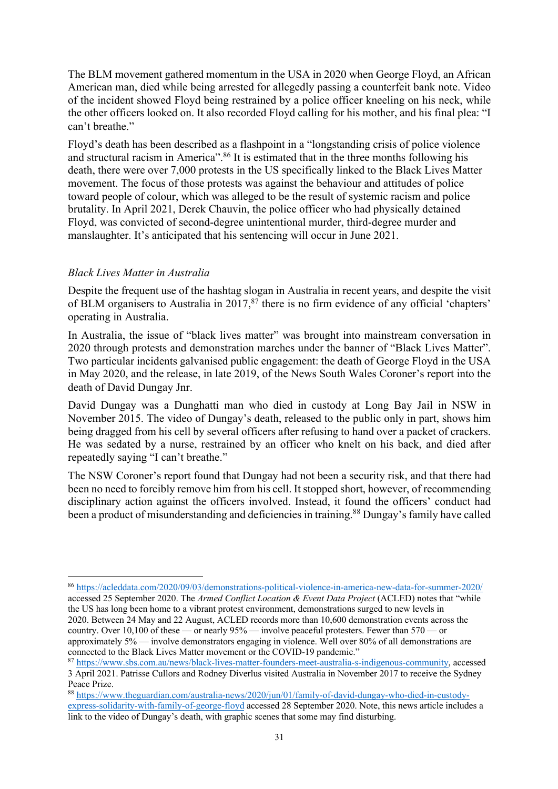The BLM movement gathered momentum in the USA in 2020 when George Floyd, an African American man, died while being arrested for allegedly passing a counterfeit bank note. Video of the incident showed Floyd being restrained by a police officer kneeling on his neck, while the other officers looked on. It also recorded Floyd calling for his mother, and his final plea: "I can't breathe."

Floyd's death has been described as a flashpoint in a "longstanding crisis of police violence and structural racism in America".86 It is estimated that in the three months following his death, there were over 7,000 protests in the US specifically linked to the Black Lives Matter movement. The focus of those protests was against the behaviour and attitudes of police toward people of colour, which was alleged to be the result of systemic racism and police brutality. In April 2021, Derek Chauvin, the police officer who had physically detained Floyd, was convicted of second-degree unintentional murder, third-degree murder and manslaughter. It's anticipated that his sentencing will occur in June 2021.

# *Black Lives Matter in Australia*

Despite the frequent use of the hashtag slogan in Australia in recent years, and despite the visit of BLM organisers to Australia in 2017, $^{87}$  there is no firm evidence of any official 'chapters' operating in Australia.

In Australia, the issue of "black lives matter" was brought into mainstream conversation in 2020 through protests and demonstration marches under the banner of "Black Lives Matter". Two particular incidents galvanised public engagement: the death of George Floyd in the USA in May 2020, and the release, in late 2019, of the News South Wales Coroner's report into the death of David Dungay Jnr.

David Dungay was a Dunghatti man who died in custody at Long Bay Jail in NSW in November 2015. The video of Dungay's death, released to the public only in part, shows him being dragged from his cell by several officers after refusing to hand over a packet of crackers. He was sedated by a nurse, restrained by an officer who knelt on his back, and died after repeatedly saying "I can't breathe."

The NSW Coroner's report found that Dungay had not been a security risk, and that there had been no need to forcibly remove him from his cell. It stopped short, however, of recommending disciplinary action against the officers involved. Instead, it found the officers' conduct had been a product of misunderstanding and deficiencies in training.<sup>88</sup> Dungay's family have called

<sup>86</sup> https://acleddata.com/2020/09/03/demonstrations-political-violence-in-america-new-data-for-summer-2020/ accessed 25 September 2020. The *Armed Conflict Location & Event Data Project* (ACLED) notes that "while the US has long been home to a vibrant protest environment, demonstrations surged to new levels in 2020. Between 24 May and 22 August, ACLED records more than 10,600 demonstration events across the country. Over 10,100 of these — or nearly 95% — involve peaceful protesters. Fewer than 570 — or approximately 5% — involve demonstrators engaging in violence. Well over 80% of all demonstrations are connected to the Black Lives Matter movement or the COVID-19 pandemic."

<sup>87</sup> https://www.sbs.com.au/news/black-lives-matter-founders-meet-australia-s-indigenous-community, accessed

<sup>3</sup> April 2021. Patrisse Cullors and Rodney Diverlus visited Australia in November 2017 to receive the Sydney Peace Prize.

<sup>88</sup> https://www.theguardian.com/australia-news/2020/jun/01/family-of-david-dungay-who-died-in-custodyexpress-solidarity-with-family-of-george-floyd accessed 28 September 2020. Note, this news article includes a link to the video of Dungay's death, with graphic scenes that some may find disturbing.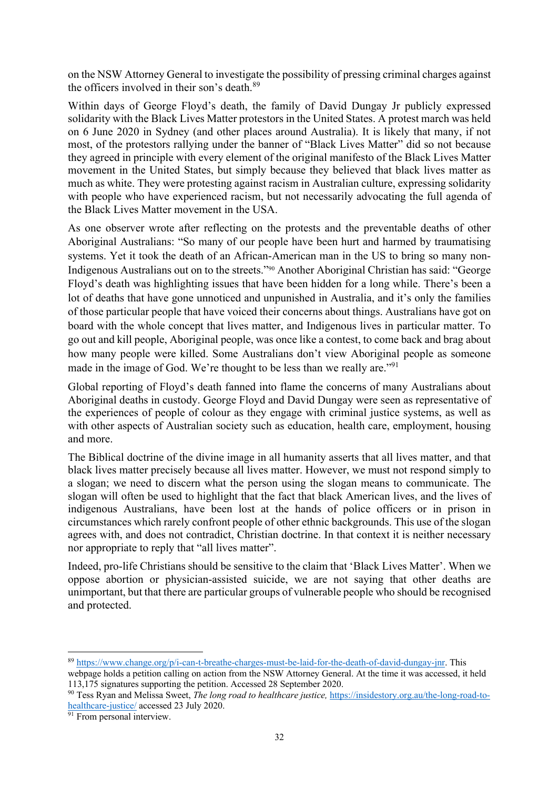on the NSW Attorney General to investigate the possibility of pressing criminal charges against the officers involved in their son's death.<sup>89</sup>

Within days of George Floyd's death, the family of David Dungay Jr publicly expressed solidarity with the Black Lives Matter protestors in the United States. A protest march was held on 6 June 2020 in Sydney (and other places around Australia). It is likely that many, if not most, of the protestors rallying under the banner of "Black Lives Matter" did so not because they agreed in principle with every element of the original manifesto of the Black Lives Matter movement in the United States, but simply because they believed that black lives matter as much as white. They were protesting against racism in Australian culture, expressing solidarity with people who have experienced racism, but not necessarily advocating the full agenda of the Black Lives Matter movement in the USA.

As one observer wrote after reflecting on the protests and the preventable deaths of other Aboriginal Australians: "So many of our people have been hurt and harmed by traumatising systems. Yet it took the death of an African-American man in the US to bring so many non-Indigenous Australians out on to the streets."90 Another Aboriginal Christian has said: "George Floyd's death was highlighting issues that have been hidden for a long while. There's been a lot of deaths that have gone unnoticed and unpunished in Australia, and it's only the families of those particular people that have voiced their concerns about things. Australians have got on board with the whole concept that lives matter, and Indigenous lives in particular matter. To go out and kill people, Aboriginal people, was once like a contest, to come back and brag about how many people were killed. Some Australians don't view Aboriginal people as someone made in the image of God. We're thought to be less than we really are."91

Global reporting of Floyd's death fanned into flame the concerns of many Australians about Aboriginal deaths in custody. George Floyd and David Dungay were seen as representative of the experiences of people of colour as they engage with criminal justice systems, as well as with other aspects of Australian society such as education, health care, employment, housing and more.

The Biblical doctrine of the divine image in all humanity asserts that all lives matter, and that black lives matter precisely because all lives matter. However, we must not respond simply to a slogan; we need to discern what the person using the slogan means to communicate. The slogan will often be used to highlight that the fact that black American lives, and the lives of indigenous Australians, have been lost at the hands of police officers or in prison in circumstances which rarely confront people of other ethnic backgrounds. This use of the slogan agrees with, and does not contradict, Christian doctrine. In that context it is neither necessary nor appropriate to reply that "all lives matter".

Indeed, pro-life Christians should be sensitive to the claim that 'Black Lives Matter'. When we oppose abortion or physician-assisted suicide, we are not saying that other deaths are unimportant, but that there are particular groups of vulnerable people who should be recognised and protected.

<sup>89</sup> https://www.change.org/p/i-can-t-breathe-charges-must-be-laid-for-the-death-of-david-dungay-jnr. This

webpage holds a petition calling on action from the NSW Attorney General. At the time it was accessed, it held 113,175 signatures supporting the petition. Accessed 28 September 2020.

<sup>90</sup> Tess Ryan and Melissa Sweet, *The long road to healthcare justice,* https://insidestory.org.au/the-long-road-tohealthcare-justice/ accessed 23 July 2020.

 $\frac{91}{91}$  From personal interview.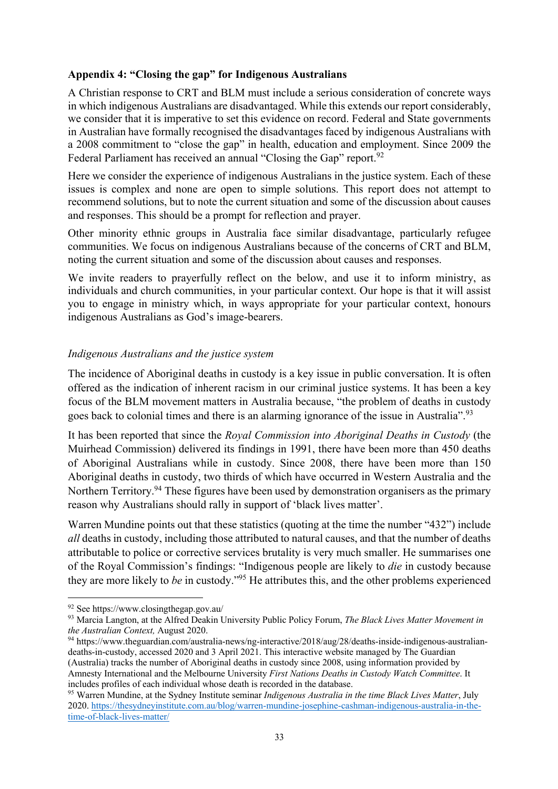### **Appendix 4: "Closing the gap" for Indigenous Australians**

A Christian response to CRT and BLM must include a serious consideration of concrete ways in which indigenous Australians are disadvantaged. While this extends our report considerably, we consider that it is imperative to set this evidence on record. Federal and State governments in Australian have formally recognised the disadvantages faced by indigenous Australians with a 2008 commitment to "close the gap" in health, education and employment. Since 2009 the Federal Parliament has received an annual "Closing the Gap" report.<sup>92</sup>

Here we consider the experience of indigenous Australians in the justice system. Each of these issues is complex and none are open to simple solutions. This report does not attempt to recommend solutions, but to note the current situation and some of the discussion about causes and responses. This should be a prompt for reflection and prayer.

Other minority ethnic groups in Australia face similar disadvantage, particularly refugee communities. We focus on indigenous Australians because of the concerns of CRT and BLM, noting the current situation and some of the discussion about causes and responses.

We invite readers to prayerfully reflect on the below, and use it to inform ministry, as individuals and church communities, in your particular context. Our hope is that it will assist you to engage in ministry which, in ways appropriate for your particular context, honours indigenous Australians as God's image-bearers.

### *Indigenous Australians and the justice system*

The incidence of Aboriginal deaths in custody is a key issue in public conversation. It is often offered as the indication of inherent racism in our criminal justice systems. It has been a key focus of the BLM movement matters in Australia because, "the problem of deaths in custody goes back to colonial times and there is an alarming ignorance of the issue in Australia".<sup>93</sup>

It has been reported that since the *Royal Commission into Aboriginal Deaths in Custody* (the Muirhead Commission) delivered its findings in 1991, there have been more than 450 deaths of Aboriginal Australians while in custody. Since 2008, there have been more than 150 Aboriginal deaths in custody, two thirds of which have occurred in Western Australia and the Northern Territory.<sup>94</sup> These figures have been used by demonstration organisers as the primary reason why Australians should rally in support of 'black lives matter'.

Warren Mundine points out that these statistics (quoting at the time the number "432") include *all* deaths in custody, including those attributed to natural causes, and that the number of deaths attributable to police or corrective services brutality is very much smaller. He summarises one of the Royal Commission's findings: "Indigenous people are likely to *die* in custody because they are more likely to *be* in custody."95 He attributes this, and the other problems experienced

<sup>92</sup> See https://www.closingthegap.gov.au/

<sup>93</sup> Marcia Langton, at the Alfred Deakin University Public Policy Forum, *The Black Lives Matter Movement in the Australian Context,* August 2020.

<sup>94</sup> https://www.theguardian.com/australia-news/ng-interactive/2018/aug/28/deaths-inside-indigenous-australiandeaths-in-custody, accessed 2020 and 3 April 2021. This interactive website managed by The Guardian (Australia) tracks the number of Aboriginal deaths in custody since 2008, using information provided by Amnesty International and the Melbourne University *First Nations Deaths in Custody Watch Committee*. It includes profiles of each individual whose death is recorded in the database.

<sup>95</sup> Warren Mundine, at the Sydney Institute seminar *Indigenous Australia in the time Black Lives Matter*, July 2020. https://thesydneyinstitute.com.au/blog/warren-mundine-josephine-cashman-indigenous-australia-in-thetime-of-black-lives-matter/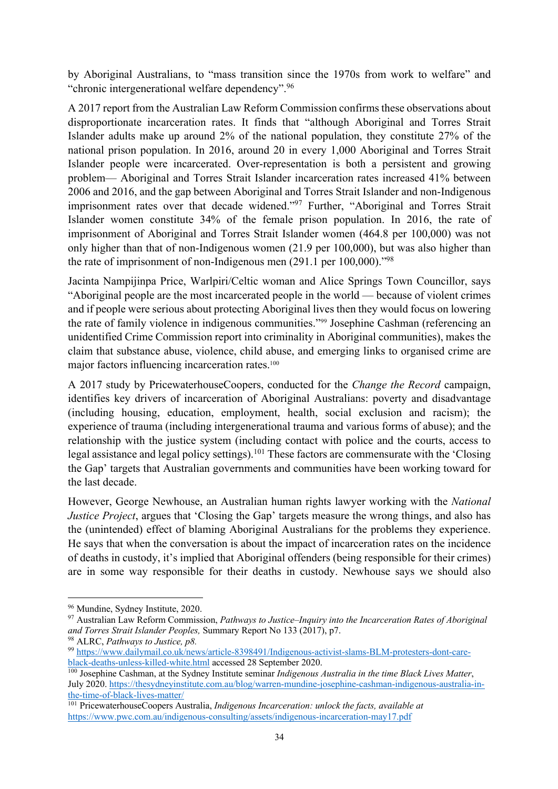by Aboriginal Australians, to "mass transition since the 1970s from work to welfare" and "chronic intergenerational welfare dependency".96

A 2017 report from the Australian Law Reform Commission confirms these observations about disproportionate incarceration rates. It finds that "although Aboriginal and Torres Strait Islander adults make up around 2% of the national population, they constitute 27% of the national prison population. In 2016, around 20 in every 1,000 Aboriginal and Torres Strait Islander people were incarcerated. Over-representation is both a persistent and growing problem— Aboriginal and Torres Strait Islander incarceration rates increased 41% between 2006 and 2016, and the gap between Aboriginal and Torres Strait Islander and non-Indigenous imprisonment rates over that decade widened."<sup>97</sup> Further, "Aboriginal and Torres Strait Islander women constitute 34% of the female prison population. In 2016, the rate of imprisonment of Aboriginal and Torres Strait Islander women (464.8 per 100,000) was not only higher than that of non-Indigenous women (21.9 per 100,000), but was also higher than the rate of imprisonment of non-Indigenous men (291.1 per 100,000)."98

Jacinta Nampijinpa Price, Warlpiri/Celtic woman and Alice Springs Town Councillor, says "Aboriginal people are the most incarcerated people in the world — because of violent crimes and if people were serious about protecting Aboriginal lives then they would focus on lowering the rate of family violence in indigenous communities."99 Josephine Cashman (referencing an unidentified Crime Commission report into criminality in Aboriginal communities), makes the claim that substance abuse, violence, child abuse, and emerging links to organised crime are major factors influencing incarceration rates.<sup>100</sup>

A 2017 study by PricewaterhouseCoopers, conducted for the *Change the Record* campaign, identifies key drivers of incarceration of Aboriginal Australians: poverty and disadvantage (including housing, education, employment, health, social exclusion and racism); the experience of trauma (including intergenerational trauma and various forms of abuse); and the relationship with the justice system (including contact with police and the courts, access to legal assistance and legal policy settings).<sup>101</sup> These factors are commensurate with the 'Closing the Gap' targets that Australian governments and communities have been working toward for the last decade.

However, George Newhouse, an Australian human rights lawyer working with the *National Justice Project*, argues that 'Closing the Gap' targets measure the wrong things, and also has the (unintended) effect of blaming Aboriginal Australians for the problems they experience. He says that when the conversation is about the impact of incarceration rates on the incidence of deaths in custody, it's implied that Aboriginal offenders (being responsible for their crimes) are in some way responsible for their deaths in custody. Newhouse says we should also

<sup>96</sup> Mundine, Sydney Institute, 2020.

<sup>97</sup> Australian Law Reform Commission, *Pathways to Justice–Inquiry into the Incarceration Rates of Aboriginal and Torres Strait Islander Peoples,* Summary Report No 133 (2017), p7. 98 ALRC, *Pathways to Justice, p8.*

<sup>99</sup> https://www.dailymail.co.uk/news/article-8398491/Indigenous-activist-slams-BLM-protesters-dont-careblack-deaths-unless-killed-white.html accessed 28 September 2020.

<sup>100</sup> Josephine Cashman, at the Sydney Institute seminar *Indigenous Australia in the time Black Lives Matter*, July 2020. https://thesydneyinstitute.com.au/blog/warren-mundine-josephine-cashman-indigenous-australia-inthe-time-of-black-lives-matter/

<sup>101</sup> PricewaterhouseCoopers Australia, *Indigenous Incarceration: unlock the facts, available at*  https://www.pwc.com.au/indigenous-consulting/assets/indigenous-incarceration-may17.pdf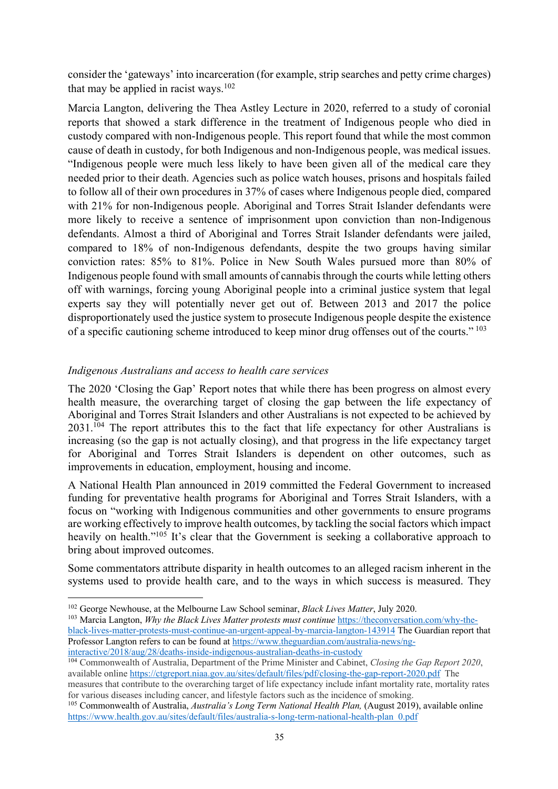consider the 'gateways' into incarceration (for example, strip searches and petty crime charges) that may be applied in racist ways. $102$ 

Marcia Langton, delivering the Thea Astley Lecture in 2020, referred to a study of coronial reports that showed a stark difference in the treatment of Indigenous people who died in custody compared with non-Indigenous people. This report found that while the most common cause of death in custody, for both Indigenous and non-Indigenous people, was medical issues. "Indigenous people were much less likely to have been given all of the medical care they needed prior to their death. Agencies such as police watch houses, prisons and hospitals failed to follow all of their own procedures in 37% of cases where Indigenous people died, compared with 21% for non-Indigenous people. Aboriginal and Torres Strait Islander defendants were more likely to receive a sentence of imprisonment upon conviction than non-Indigenous defendants. Almost a third of Aboriginal and Torres Strait Islander defendants were jailed, compared to 18% of non-Indigenous defendants, despite the two groups having similar conviction rates: 85% to 81%. Police in New South Wales pursued more than 80% of Indigenous people found with small amounts of cannabis through the courts while letting others off with warnings, forcing young Aboriginal people into a criminal justice system that legal experts say they will potentially never get out of. Between 2013 and 2017 the police disproportionately used the justice system to prosecute Indigenous people despite the existence of a specific cautioning scheme introduced to keep minor drug offenses out of the courts." <sup>103</sup>

### *Indigenous Australians and access to health care services*

The 2020 'Closing the Gap' Report notes that while there has been progress on almost every health measure, the overarching target of closing the gap between the life expectancy of Aboriginal and Torres Strait Islanders and other Australians is not expected to be achieved by 2031.<sup>104</sup> The report attributes this to the fact that life expectancy for other Australians is increasing (so the gap is not actually closing), and that progress in the life expectancy target for Aboriginal and Torres Strait Islanders is dependent on other outcomes, such as improvements in education, employment, housing and income.

A National Health Plan announced in 2019 committed the Federal Government to increased funding for preventative health programs for Aboriginal and Torres Strait Islanders, with a focus on "working with Indigenous communities and other governments to ensure programs are working effectively to improve health outcomes, by tackling the social factors which impact heavily on health."<sup>105</sup> It's clear that the Government is seeking a collaborative approach to bring about improved outcomes.

Some commentators attribute disparity in health outcomes to an alleged racism inherent in the systems used to provide health care, and to the ways in which success is measured. They

<sup>102</sup> George Newhouse, at the Melbourne Law School seminar, *Black Lives Matter*, July 2020.

<sup>103</sup> Marcia Langton, *Why the Black Lives Matter protests must continue* https://theconversation.com/why-theblack-lives-matter-protests-must-continue-an-urgent-appeal-by-marcia-langton-143914 The Guardian report that Professor Langton refers to can be found at https://www.theguardian.com/australia-news/nginteractive/2018/aug/28/deaths-inside-indigenous-australian-deaths-in-custody

<sup>104</sup> Commonwealth of Australia, Department of the Prime Minister and Cabinet, *Closing the Gap Report 2020*, available online https://ctgreport.niaa.gov.au/sites/default/files/pdf/closing-the-gap-report-2020.pdf The

measures that contribute to the overarching target of life expectancy include infant mortality rate, mortality rates for various diseases including cancer, and lifestyle factors such as the incidence of smoking. 105 Commonwealth of Australia, *Australia's Long Term National Health Plan,* (August 2019), available online

https://www.health.gov.au/sites/default/files/australia-s-long-term-national-health-plan\_0.pdf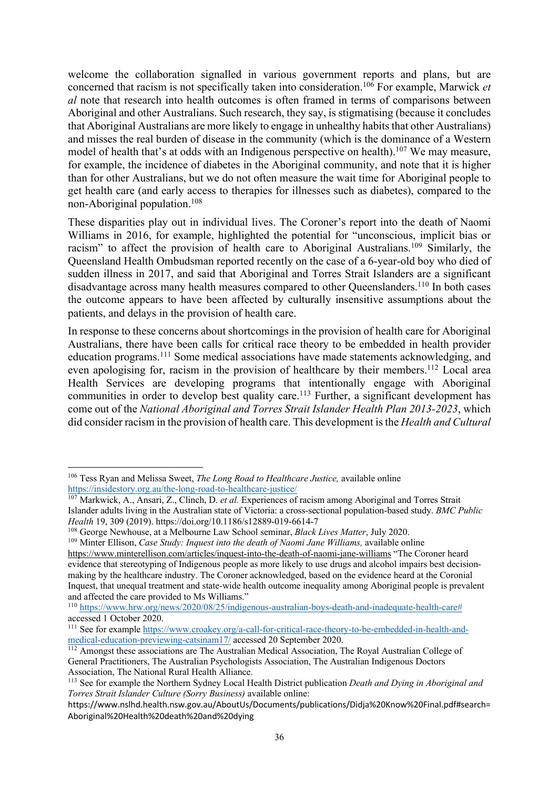welcome the collaboration signalled in various government reports and plans, but are concerned that racism is not specifically taken into consideration.106 For example, Marwick *et al* note that research into health outcomes is often framed in terms of comparisons between Aboriginal and other Australians. Such research, they say, is stigmatising (because it concludes that Aboriginal Australians are more likely to engage in unhealthy habits that other Australians) and misses the real burden of disease in the community (which is the dominance of a Western model of health that's at odds with an Indigenous perspective on health).<sup>107</sup> We may measure, for example, the incidence of diabetes in the Aboriginal community, and note that it is higher than for other Australians, but we do not often measure the wait time for Aboriginal people to get health care (and early access to therapies for illnesses such as diabetes), compared to the non-Aboriginal population.108

These disparities play out in individual lives. The Coroner's report into the death of Naomi Williams in 2016, for example, highlighted the potential for "unconscious, implicit bias or racism" to affect the provision of health care to Aboriginal Australians.<sup>109</sup> Similarly, the Queensland Health Ombudsman reported recently on the case of a 6-year-old boy who died of sudden illness in 2017, and said that Aboriginal and Torres Strait Islanders are a significant disadvantage across many health measures compared to other Queenslanders.<sup>110</sup> In both cases the outcome appears to have been affected by culturally insensitive assumptions about the patients, and delays in the provision of health care.

In response to these concerns about shortcomings in the provision of health care for Aboriginal Australians, there have been calls for critical race theory to be embedded in health provider education programs.111 Some medical associations have made statements acknowledging, and even apologising for, racism in the provision of healthcare by their members.<sup>112</sup> Local area Health Services are developing programs that intentionally engage with Aboriginal communities in order to develop best quality care.<sup>113</sup> Further, a significant development has come out of the *National Aboriginal and Torres Strait Islander Health Plan 2013-2023*, which did consider racism in the provision of health care. This development is the *Health and Cultural* 

<sup>106</sup> Tess Ryan and Melissa Sweet, *The Long Road to Healthcare Justice,* available online https://insidestory.org.au/the-long-road-to-healthcare-justice/

<sup>107</sup> Markwick, A., Ansari, Z., Clinch, D. *et al.* Experiences of racism among Aboriginal and Torres Strait Islander adults living in the Australian state of Victoria: a cross-sectional population-based study. *BMC Public Health* 19, 309 (2019). https://doi.org/10.1186/s12889-019-6614-7

<sup>108</sup> George Newhouse, at a Melbourne Law School seminar, *Black Lives Matter*, July 2020.

<sup>&</sup>lt;sup>109</sup> Minter Ellison, *Case Study: Inquest into the death of Naomi Jane Williams*, available online https://www.minterellison.com/articles/inquest-into-the-death-of-naomi-jane-williams "The Coroner heard evidence that stereotyping of Indigenous people as more likely to use drugs and alcohol impairs best decisionmaking by the healthcare industry. The Coroner acknowledged, based on the evidence heard at the Coronial Inquest, that unequal treatment and state-wide health outcome inequality among Aboriginal people is prevalent and affected the care provided to Ms Williams."

<sup>110</sup> https://www.hrw.org/news/2020/08/25/indigenous-australian-boys-death-and-inadequate-health-care# accessed 1 October 2020.

<sup>&</sup>lt;sup>111</sup> See for example https://www.croakey.org/a-call-for-critical-race-theory-to-be-embedded-in-health-andmedical-education-previewing-catsinam17/ accessed 20 September 2020.

<sup>&</sup>lt;sup>112</sup> Amongst these associations are The Australian Medical Association, The Royal Australian College of General Practitioners, The Australian Psychologists Association, The Australian Indigenous Doctors Association, The National Rural Health Alliance.

<sup>113</sup> See for example the Northern Sydney Local Health District publication *Death and Dying in Aboriginal and Torres Strait Islander Culture (Sorry Business)* available online:

https://www.nslhd.health.nsw.gov.au/AboutUs/Documents/publications/Didja%20Know%20Final.pdf#search= Aboriginal%20Health%20death%20and%20dying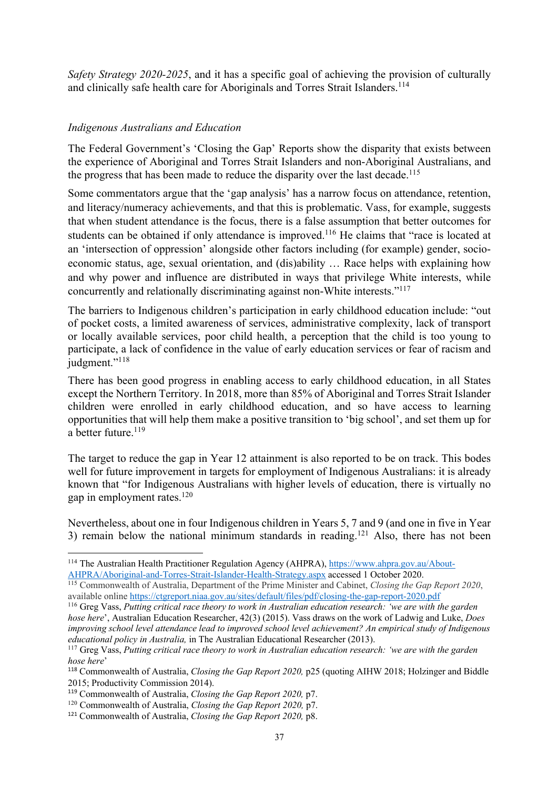*Safety Strategy 2020-2025*, and it has a specific goal of achieving the provision of culturally and clinically safe health care for Aboriginals and Torres Strait Islanders.<sup>114</sup>

### *Indigenous Australians and Education*

The Federal Government's 'Closing the Gap' Reports show the disparity that exists between the experience of Aboriginal and Torres Strait Islanders and non-Aboriginal Australians, and the progress that has been made to reduce the disparity over the last decade.<sup>115</sup>

Some commentators argue that the 'gap analysis' has a narrow focus on attendance, retention, and literacy/numeracy achievements, and that this is problematic. Vass, for example, suggests that when student attendance is the focus, there is a false assumption that better outcomes for students can be obtained if only attendance is improved.<sup>116</sup> He claims that "race is located at an 'intersection of oppression' alongside other factors including (for example) gender, socioeconomic status, age, sexual orientation, and (dis)ability … Race helps with explaining how and why power and influence are distributed in ways that privilege White interests, while concurrently and relationally discriminating against non-White interests."117

The barriers to Indigenous children's participation in early childhood education include: "out of pocket costs, a limited awareness of services, administrative complexity, lack of transport or locally available services, poor child health, a perception that the child is too young to participate, a lack of confidence in the value of early education services or fear of racism and judgment."<sup>118</sup>

There has been good progress in enabling access to early childhood education, in all States except the Northern Territory. In 2018, more than 85% of Aboriginal and Torres Strait Islander children were enrolled in early childhood education, and so have access to learning opportunities that will help them make a positive transition to 'big school', and set them up for a better future.<sup>119</sup>

The target to reduce the gap in Year 12 attainment is also reported to be on track. This bodes well for future improvement in targets for employment of Indigenous Australians: it is already known that "for Indigenous Australians with higher levels of education, there is virtually no gap in employment rates.120

Nevertheless, about one in four Indigenous children in Years 5, 7 and 9 (and one in five in Year 3) remain below the national minimum standards in reading.<sup>121</sup> Also, there has not been

<sup>&</sup>lt;sup>114</sup> The Australian Health Practitioner Regulation Agency (AHPRA), https://www.ahpra.gov.au/About-AHPRA/Aboriginal-and-Torres-Strait-Islander-Health-Strategy.aspx accessed 1 October 2020.

<sup>115</sup> Commonwealth of Australia, Department of the Prime Minister and Cabinet, *Closing the Gap Report 2020*, available online https://ctgreport.niaa.gov.au/sites/default/files/pdf/closing-the-gap-report-2020.pdf<br><sup>116</sup> Greg Vass, *Putting critical race theory to work in Australian education research: 'we are with the garden* 

*hose here*', Australian Education Researcher, 42(3) (2015). Vass draws on the work of Ladwig and Luke, *Does improving school level attendance lead to improved school level achievement? An empirical study of Indigenous educational policy in Australia,* in The Australian Educational Researcher (2013).

<sup>117</sup> Greg Vass, *Putting critical race theory to work in Australian education research: 'we are with the garden hose here*'

<sup>118</sup> Commonwealth of Australia, *Closing the Gap Report 2020,* p25 (quoting AIHW 2018; Holzinger and Biddle 2015; Productivity Commission 2014).<br><sup>119</sup> Commonwealth of Australia, *Closing the Gap Report 2020*, p7.

<sup>&</sup>lt;sup>120</sup> Commonwealth of Australia, *Closing the Gap Report 2020*, p7.

<sup>121</sup> Commonwealth of Australia, *Closing the Gap Report 2020,* p8.